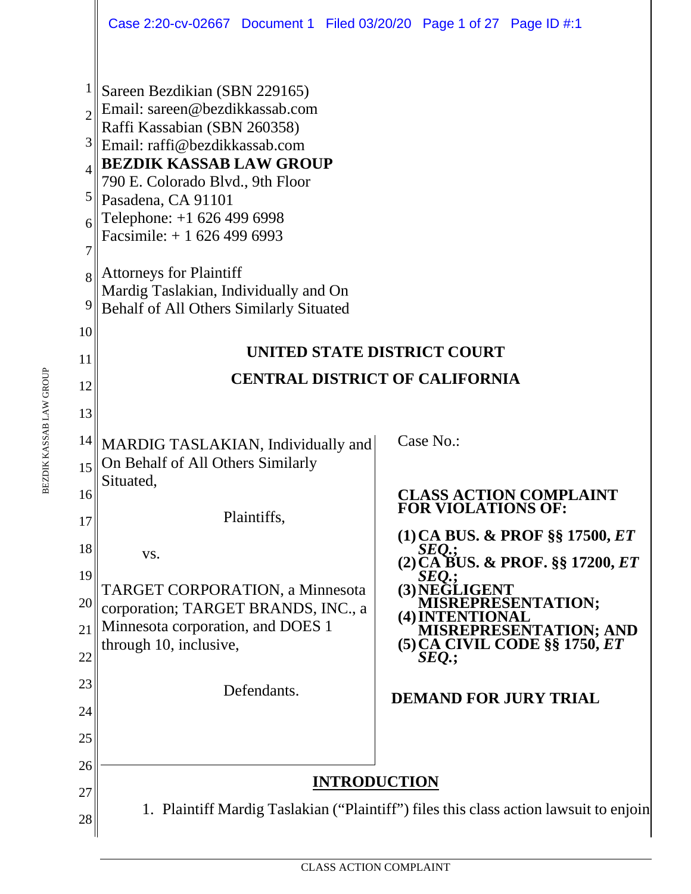|                 | Case 2:20-cv-02667 Document 1 Filed 03/20/20 Page 1 of 27 Page ID #:1            |                                                                                       |  |  |  |  |  |  |  |  |
|-----------------|----------------------------------------------------------------------------------|---------------------------------------------------------------------------------------|--|--|--|--|--|--|--|--|
|                 | Sareen Bezdikian (SBN 229165)                                                    |                                                                                       |  |  |  |  |  |  |  |  |
|                 | Email: sareen@bezdikkassab.com                                                   |                                                                                       |  |  |  |  |  |  |  |  |
|                 | Raffi Kassabian (SBN 260358)<br>Email: raffi@bezdikkassab.com                    |                                                                                       |  |  |  |  |  |  |  |  |
|                 | <b>BEZDIK KASSAB LAW GROUP</b><br>790 E. Colorado Blvd., 9th Floor               |                                                                                       |  |  |  |  |  |  |  |  |
| 5               |                                                                                  |                                                                                       |  |  |  |  |  |  |  |  |
|                 | Pasadena, CA 91101<br>Telephone: +1 626 499 6998                                 |                                                                                       |  |  |  |  |  |  |  |  |
| 7               | Facsimile: $+16264996993$                                                        |                                                                                       |  |  |  |  |  |  |  |  |
|                 | <b>Attorneys for Plaintiff</b>                                                   |                                                                                       |  |  |  |  |  |  |  |  |
| 9               | Mardig Taslakian, Individually and On<br>Behalf of All Others Similarly Situated |                                                                                       |  |  |  |  |  |  |  |  |
| 10 <sup>1</sup> |                                                                                  |                                                                                       |  |  |  |  |  |  |  |  |
| 11              | UNITED STATE DISTRICT COURT                                                      |                                                                                       |  |  |  |  |  |  |  |  |
| 12              | <b>CENTRAL DISTRICT OF CALIFORNIA</b>                                            |                                                                                       |  |  |  |  |  |  |  |  |
| 13              |                                                                                  |                                                                                       |  |  |  |  |  |  |  |  |
| 14              | MARDIG TASLAKIAN, Individually and                                               | Case No.:                                                                             |  |  |  |  |  |  |  |  |
| 15              | On Behalf of All Others Similarly                                                |                                                                                       |  |  |  |  |  |  |  |  |
| 16              | Situated,                                                                        | <b>CLASS ACTION COMPLAINT</b>                                                         |  |  |  |  |  |  |  |  |
| 17              | Plaintiffs,                                                                      | <b>FOR VIOLATIONS OF:</b>                                                             |  |  |  |  |  |  |  |  |
| 18              | VS.                                                                              | $(1)$ CA BUS. & PROF §§ 17500, $ET$<br>SEQ.;                                          |  |  |  |  |  |  |  |  |
| 19              |                                                                                  | $(2)\widetilde{CA}$ BUS. & PROF. §§ 17200, ET<br><i>SEO.</i> :                        |  |  |  |  |  |  |  |  |
| 20              | <b>TARGET CORPORATION, a Minnesota</b><br>corporation; TARGET BRANDS, INC., a    | (3) NEGLIGENT<br><b>MISREPRESENTATION;</b>                                            |  |  |  |  |  |  |  |  |
| 21              | Minnesota corporation, and DOES 1                                                | (4) INTENTIONAL<br><b>MISREPRESENTATION; AND</b>                                      |  |  |  |  |  |  |  |  |
| 22              | through 10, inclusive,                                                           | $(5)$ CA CIVIL CODE §§ 1750, $ET$<br>$SEQ$ :                                          |  |  |  |  |  |  |  |  |
| 23              | Defendants.                                                                      |                                                                                       |  |  |  |  |  |  |  |  |
| 24              |                                                                                  | <b>DEMAND FOR JURY TRIAL</b>                                                          |  |  |  |  |  |  |  |  |
| 25              |                                                                                  |                                                                                       |  |  |  |  |  |  |  |  |
| 26              |                                                                                  |                                                                                       |  |  |  |  |  |  |  |  |
| 27              | <b>INTRODUCTION</b>                                                              |                                                                                       |  |  |  |  |  |  |  |  |
| 28              |                                                                                  | 1. Plaintiff Mardig Taslakian ("Plaintiff") files this class action lawsuit to enjoin |  |  |  |  |  |  |  |  |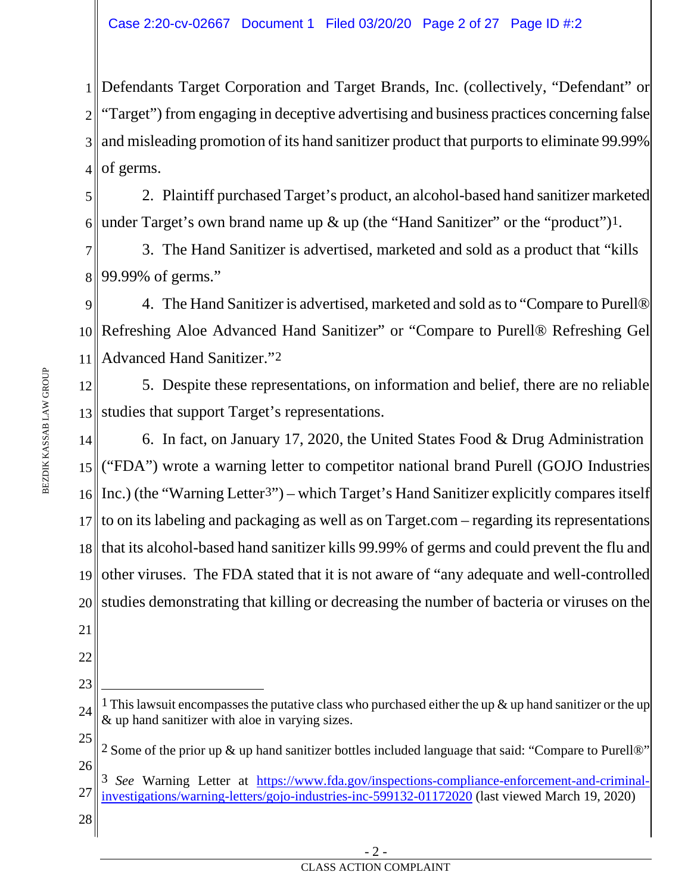1 Defendants Target Corporation and Target Brands, Inc. (collectively, "Defendant" or 2 3 and misleading promotion of its hand sanitizer product that purports to eliminate 99.99% 4 "Target") from engaging in deceptive advertising and business practices concerning false of germs.

5 6 2. Plaintiff purchased Target's product, an alcohol-based hand sanitizer marketed under Target's own brand name up  $\&$  up (the "Hand Sanitizer" or the "product")<sup>[1](#page-1-0)</sup>.

7 8 3. The Hand Sanitizer is advertised, marketed and sold as a product that "kills 99.99% of germs."

9 10 Refreshing Aloe Advanced Hand Sanitizer" or "Compare to Purell® Refreshing Gel 11 4. The Hand Sanitizer is advertised, marketed and sold as to "Compare to Purell® Advanced Hand Sanitizer."[2](#page-1-1)

12 13 studies that support Target's representations. 5. Despite these representations, on information and belief, there are no reliable

14 15<sup>\</sup> ("FDA") wrote a warning letter to competitor national brand Purell (GOJO Industries 16 Inc.) (the "Warning Letter<sup>[3"](#page-1-2)</sup>) – which Target's Hand Sanitizer explicitly compares itself 17 18 19 20 21 6. In fact, on January 17, 2020, the United States Food & Drug Administration to on its labeling and packaging as well as on Target.com – regarding its representations that its alcohol-based hand sanitizer kills 99.99% of germs and could prevent the flu and other viruses. The FDA stated that it is not aware of "any adequate and well-controlled studies demonstrating that killing or decreasing the number of bacteria or viruses on the

- 22
- 23

<span id="page-1-0"></span><sup>24</sup> 1 This lawsuit encompassesthe putative class who purchased either the up & up hand sanitizer or the up & up hand sanitizer with aloe in varying sizes.

<span id="page-1-1"></span><sup>25</sup> 26 2 Some of the prior up & up hand sanitizer bottles included language that said: "Compare to Purell®"

<span id="page-1-2"></span><sup>27</sup> 3 *See* Warning Letter at [https://www.fda.gov/inspections-compliance-enforcement-and-criminal](https://www.fda.gov/inspections-compliance-enforcement-and-criminal-investigations/warning-letters/gojo-industries-inc-599132-01172020)[investigations/warning-letters/gojo-industries-inc-599132-01172020](https://www.fda.gov/inspections-compliance-enforcement-and-criminal-investigations/warning-letters/gojo-industries-inc-599132-01172020) (last viewed March 19, 2020)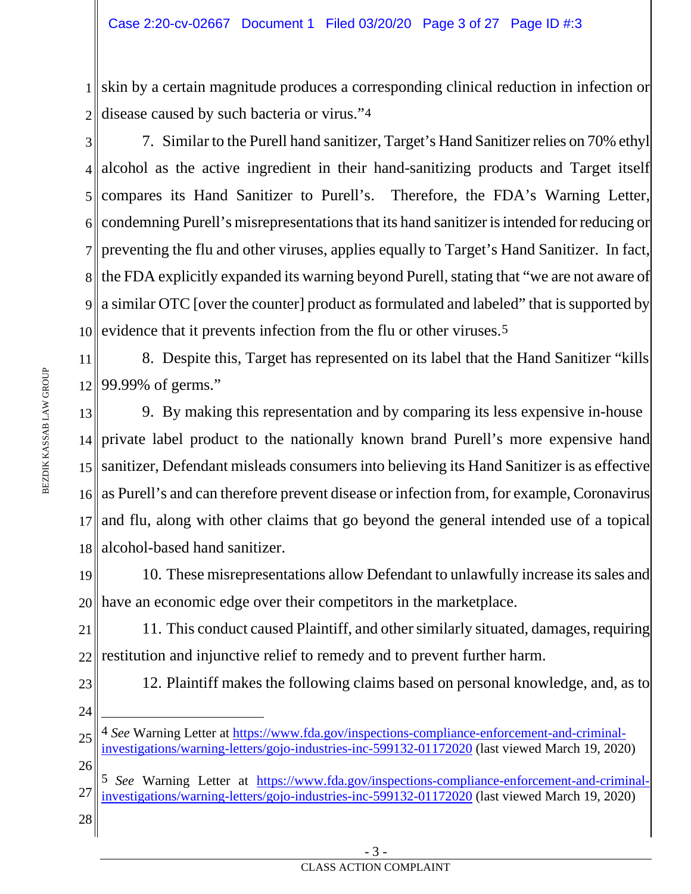1 skin by a certain magnitude produces a corresponding clinical reduction in infection or 2 disease caused by such bacteria or virus.["4](#page-2-0)

3 4 5 6 7 8 9 10 evidence that it prevents infection from the flu or other viruses.<sup>[5](#page-2-1)</sup> 7. Similar to the Purell hand sanitizer, Target's Hand Sanitizer relies on 70% ethyl alcohol as the active ingredient in their hand-sanitizing products and Target itself compares its Hand Sanitizer to Purell's. Therefore, the FDA's Warning Letter, condemning Purell's misrepresentations that its hand sanitizer is intended for reducing or preventing the flu and other viruses, applies equally to Target's Hand Sanitizer. In fact, the FDA explicitly expanded its warning beyond Purell, stating that "we are not aware of a similar OTC [over the counter] product as formulated and labeled" that is supported by

11 12 8. Despite this, Target has represented on its label that the Hand Sanitizer "kills 99.99% of germs."

13 14 private label product to the nationally known brand Purell's more expensive hand 15 sanitizer, Defendant misleads consumers into believing its Hand Sanitizer is as effective 16 17 18 9. By making this representation and by comparing its less expensive in-house as Purell's and can therefore prevent disease or infection from, for example, Coronavirus and flu, along with other claims that go beyond the general intended use of a topical alcohol-based hand sanitizer.

19 20 10. These misrepresentations allow Defendant to unlawfully increase its sales and have an economic edge over their competitors in the marketplace.

21 22 11. This conduct caused Plaintiff, and other similarly situated, damages, requiring restitution and injunctive relief to remedy and to prevent further harm.

- 12. Plaintiff makes the following claims based on personal knowledge, and, as to
- 24

<span id="page-2-0"></span>25

26

23

4 *See* Warning Letter at [https://www.fda.gov/inspections-compliance-enforcement-and-criminal](https://www.fda.gov/inspections-compliance-enforcement-and-criminal-investigations/warning-letters/gojo-industries-inc-599132-01172020)[investigations/warning-letters/gojo-industries-inc-599132-01172020](https://www.fda.gov/inspections-compliance-enforcement-and-criminal-investigations/warning-letters/gojo-industries-inc-599132-01172020) (last viewed March 19, 2020)

- <span id="page-2-1"></span>27 5 *See* Warning Letter at [https://www.fda.gov/inspections-compliance-enforcement-and-criminal](https://www.fda.gov/inspections-compliance-enforcement-and-criminal-investigations/warning-letters/gojo-industries-inc-599132-01172020)[investigations/warning-letters/gojo-industries-inc-599132-01172020](https://www.fda.gov/inspections-compliance-enforcement-and-criminal-investigations/warning-letters/gojo-industries-inc-599132-01172020) (last viewed March 19, 2020)
- 28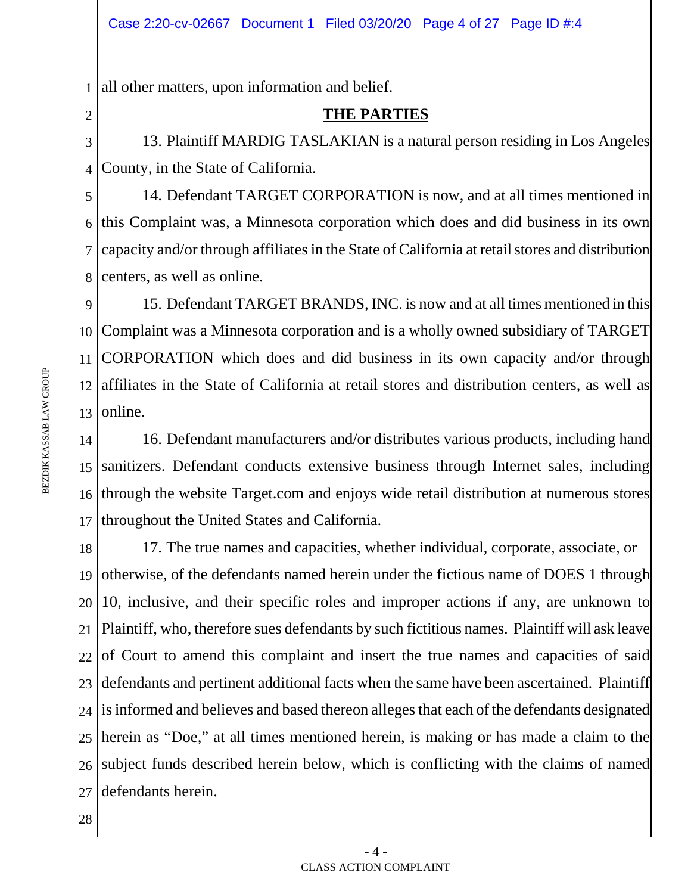1 all other matters, upon information and belief.

2

### **THE PARTIES**

3 4 13. Plaintiff MARDIG TASLAKIAN is a natural person residing in Los Angeles County, in the State of California.

5 6 this Complaint was, a Minnesota corporation which does and did business in its own 7 8 14. Defendant TARGET CORPORATION is now, and at all times mentioned in capacity and/or through affiliates in the State of California at retailstores and distribution centers, as well as online.

9 10 Complaint was a Minnesota corporation and is a wholly owned subsidiary of TARGET 11 CORPORATION which does and did business in its own capacity and/or through 12 affiliates in the State of California at retail stores and distribution centers, as well as 13 15. Defendant TARGET BRANDS, INC. is now and at all times mentioned in this online.

14 15 sanitizers. Defendant conducts extensive business through Internet sales, including 16 17 16. Defendant manufacturers and/or distributes various products, including hand through the website Target.com and enjoys wide retail distribution at numerous stores throughout the United States and California.

18 19 20 21 22 23 24 25 herein as "Doe," at all times mentioned herein, is making or has made a claim to the 26 subject funds described herein below, which is conflicting with the claims of named 27 17. The true names and capacities, whether individual, corporate, associate, or otherwise, of the defendants named herein under the fictious name of DOES 1 through 10, inclusive, and their specific roles and improper actions if any, are unknown to Plaintiff, who, therefore sues defendants by such fictitious names. Plaintiff will ask leave of Court to amend this complaint and insert the true names and capacities of said defendants and pertinent additional facts when the same have been ascertained. Plaintiff is informed and believes and based thereon alleges that each of the defendants designated defendants herein.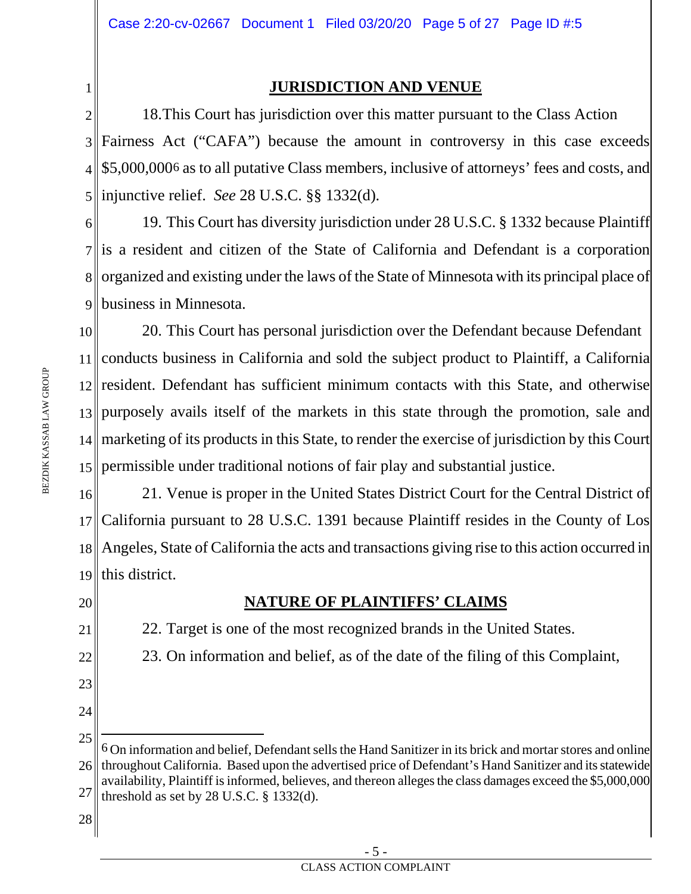### **JURISDICTION AND VENUE**

2 3 4 \$5,000,00[06](#page-4-0) as to all putative Class members, inclusive of attorneys' fees and costs, and 5 18.This Court has jurisdiction over this matter pursuant to the Class Action Fairness Act ("CAFA") because the amount in controversy in this case exceeds injunctive relief. *See* 28 U.S.C. §§ 1332(d).

6 7 is a resident and citizen of the State of California and Defendant is a corporation 8 organized and existing under the laws of the State of Minnesota with its principal place of 9 business in Minnesota. 19. This Court has diversity jurisdiction under 28 U.S.C. § 1332 because Plaintiff

10 11 conducts business in California and sold the subject product to Plaintiff, a California 12 resident. Defendant has sufficient minimum contacts with this State, and otherwise 13 purposely avails itself of the markets in this state through the promotion, sale and 14 marketing of its products in this State, to render the exercise of jurisdiction by this Court 15 permissible under traditional notions of fair play and substantial justice. 20. This Court has personal jurisdiction over the Defendant because Defendant

16 17 18 Angeles, State of California the acts and transactions giving rise to this action occurred in 19 21. Venue is proper in the United States District Court for the Central District of California pursuant to 28 U.S.C. 1391 because Plaintiff resides in the County of Los this district.

20

21

22

23

24

1

## **NATURE OF PLAINTIFFS' CLAIMS**

22. Target is one of the most recognized brands in the United States.

23. On information and belief, as of the date of the filing of this Complaint,

threshold as set by  $28$  U.S.C.  $\S$  1332(d).

<span id="page-4-0"></span><sup>25</sup> 26 27 6 On information and belief, Defendant sells the Hand Sanitizer in its brick and mortarstores and online throughout California. Based upon the advertised price of Defendant's Hand Sanitizer and its statewide availability, Plaintiff is informed, believes, and thereon alleges the class damages exceed the \$5,000,000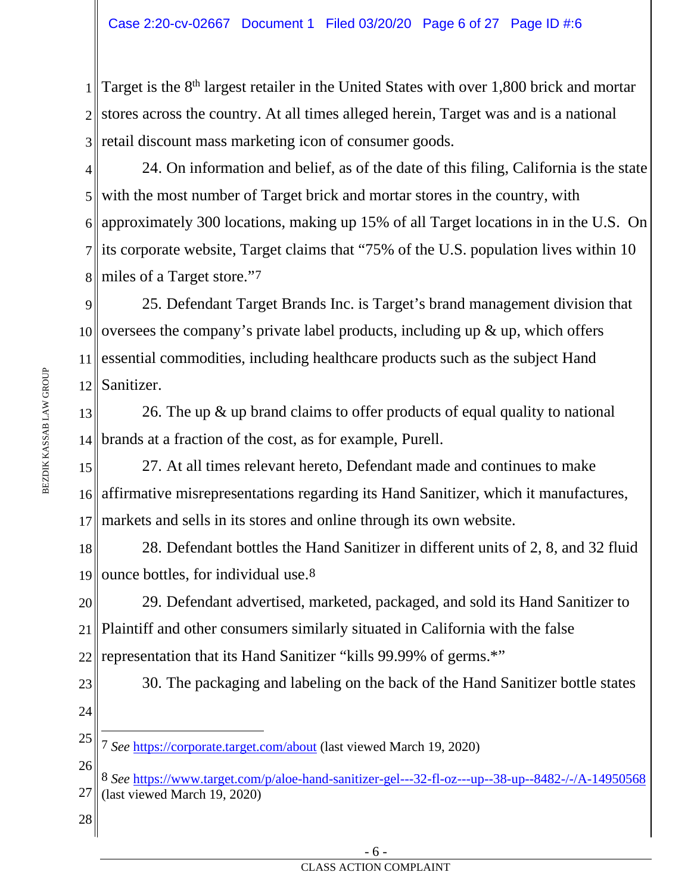1 2 stores across the country. At all times alleged herein, Target was and is a national 3 retail discount mass marketing icon of consumer goods. Target is the  $8<sup>th</sup>$  largest retailer in the United States with over 1,800 brick and mortar

4 with the most number of Target brick and mortar stores in the country, with approximately 300 locations, making up 15% of all Target locations in in the U.S. On its corporate website, Target claims that "75% of the U.S. population lives within 10 miles of a Target store."[7](#page-5-0) 24. On information and belief, as of the date of this filing, California is the state

9 10 oversees the company's private label products, including up  $\&$  up, which offers 11 essential commodities, including healthcare products such as the subject Hand 12 25. Defendant Target Brands Inc. is Target's brand management division that Sanitizer.

13 14 26. The up & up brand claims to offer products of equal quality to national brands at a fraction of the cost, as for example, Purell.

15 16 affirmative misrepresentations regarding its Hand Sanitizer, which it manufactures, 17 27. At all times relevant hereto, Defendant made and continues to make markets and sells in its stores and online through its own website.

18 19 28. Defendant bottles the Hand Sanitizer in different units of 2, 8, and 32 fluid ounce bottles, for individual use.[8](#page-5-1)

20 21 22 29. Defendant advertised, marketed, packaged, and sold its Hand Sanitizer to Plaintiff and other consumers similarly situated in California with the false representation that its Hand Sanitizer "kills 99.99% of germs.\*"

30. The packaging and labeling on the back of the Hand Sanitizer bottle states

24

23

<span id="page-5-0"></span>25 7 *See* <https://corporate.target.com/about> (last viewed March 19, 2020)

- <span id="page-5-1"></span>26 27 8 *See* <https://www.target.com/p/aloe-hand-sanitizer-gel---32-fl-oz---up--38-up--8482-/-/A-14950568> (last viewed March 19, 2020)
- 28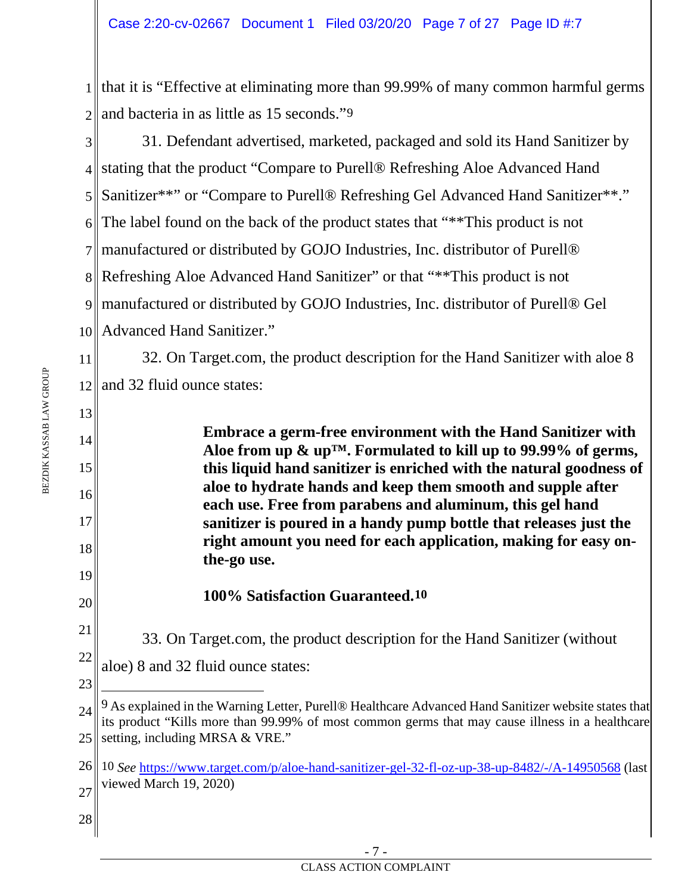1 that it is "Effective at eliminating more than 99.99% of many common harmful germs 2 and bacteria in as little as 15 seconds."<sup>9</sup>

3 4 stating that the product "Compare to Purell® Refreshing Aloe Advanced Hand 5 6 7 manufactured or distributed by GOJO Industries, Inc. distributor of Purell® 8 9 10 31. Defendant advertised, marketed, packaged and sold its Hand Sanitizer by Sanitizer\*\*" or "Compare to Purell® Refreshing Gel Advanced Hand Sanitizer\*\*." The label found on the back of the product states that "\*\*This product is not Refreshing Aloe Advanced Hand Sanitizer" or that "\*\*This product is not manufactured or distributed by GOJO Industries, Inc. distributor of Purell® Gel Advanced Hand Sanitizer."

11 12 and 32 fluid ounce states: 32. On Target.com, the product description for the Hand Sanitizer with aloe 8

13

BEZDIK KASSAB LAW GROUP

BEZDIK KASSAB LAW GROUP

14

15

16

17

18

**Embrace a germ-free environment with the Hand Sanitizer with Aloe from up & up™. Formulated to kill up to 99.99% of germs, this liquid hand sanitizer is enriched with the natural goodness of aloe to hydrate hands and keep them smooth and supple after each use. Free from parabens and aluminum, this gel hand sanitizer is poured in a handy pump bottle that releases just the right amount you need for each application, making for easy onthe-go use.**

19 20

23

**100% Satisfaction Guaranteed.[10](#page-6-1)**

21 22 33. On Target.com, the product description for the Hand Sanitizer (without aloe) 8 and 32 fluid ounce states:

<span id="page-6-0"></span><sup>24</sup> 25 9 As explained in the Warning Letter, Purell® Healthcare Advanced Hand Sanitizer website states that its product "Kills more than 99.99% of most common germs that may cause illness in a healthcare setting, including MRSA & VRE."

<span id="page-6-1"></span><sup>26</sup> 27 10 *See* <https://www.target.com/p/aloe-hand-sanitizer-gel-32-fl-oz-up-38-up-8482/-/A-14950568> (last viewed March 19, 2020)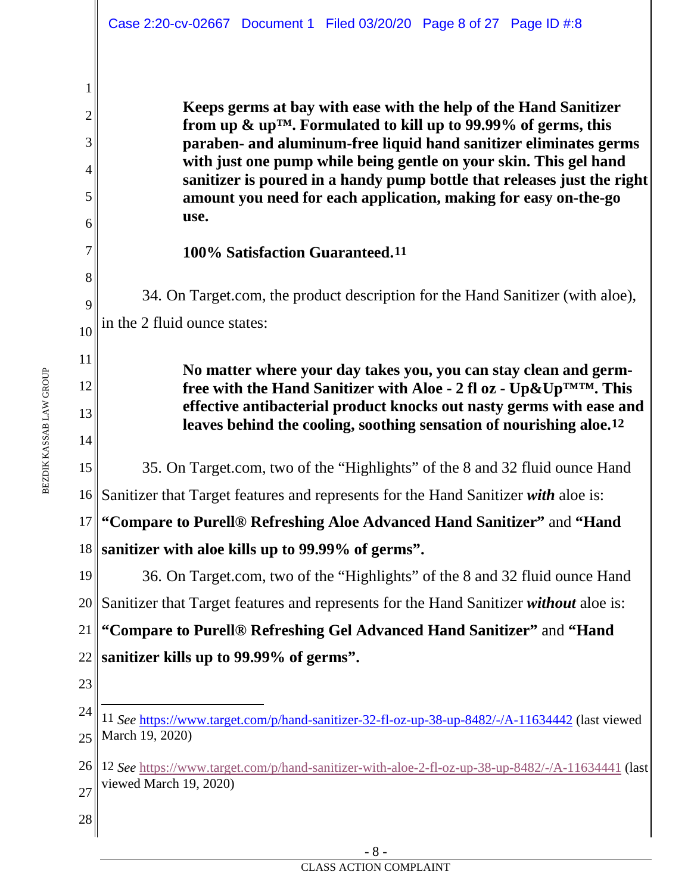**Keeps germs at bay with ease with the help of the Hand Sanitizer from up & up™. Formulated to kill up to 99.99% of germs, this paraben- and aluminum-free liquid hand sanitizer eliminates germs with just one pump while being gentle on your skin. This gel hand sanitizer is poured in a handy pump bottle that releases just the right amount you need for each application, making for easy on-the-go use.**

### **100% Satisfaction Guaranteed.[11](#page-7-0)**

34. On Target.com, the product description for the Hand Sanitizer (with aloe), in the 2 fluid ounce states:

> **No matter where your day takes you, you can stay clean and germfree with the Hand Sanitizer with Aloe - 2 fl oz - Up&Up™™. This effective antibacterial product knocks out nasty germs with ease and leaves behind the cooling, soothing sensation of nourishing aloe.[12](#page-7-1)**

15 35. On Target.com, two of the "Highlights" of the 8 and 32 fluid ounce Hand

16 Sanitizer that Target features and represents for the Hand Sanitizer *with* aloe is:

17 18 **sanitizer with aloe kills up to 99.99% of germs". "Compare to Purell® Refreshing Aloe Advanced Hand Sanitizer"** and **"Hand** 

19 20 Sanitizer that Target features and represents for the Hand Sanitizer *without* aloe is: 21 22 **sanitizer kills up to 99.99% of germs".** 36. On Target.com, two of the "Highlights" of the 8 and 32 fluid ounce Hand **"Compare to Purell® Refreshing Gel Advanced Hand Sanitizer"** and **"Hand** 

23

28

1

2

3

4

5

6

7

8

9

10

11

12

13

<span id="page-7-0"></span><sup>24</sup> 25 11 *See* <https://www.target.com/p/hand-sanitizer-32-fl-oz-up-38-up-8482/-/A-11634442> (last viewed March 19, 2020)

<span id="page-7-1"></span><sup>26</sup> 12 *See* <https://www.target.com/p/hand-sanitizer-with-aloe-2-fl-oz-up-38-up-8482/-/A-11634441> (last 27 viewed March 19, 2020)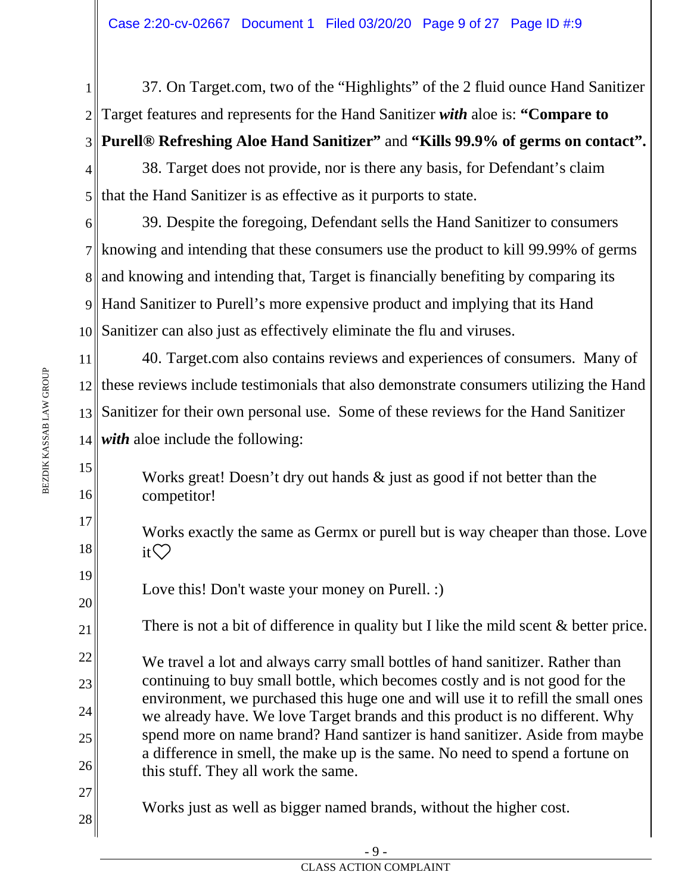1 2 3 37. On Target.com, two of the "Highlights" of the 2 fluid ounce Hand Sanitizer Target features and represents for the Hand Sanitizer *with* aloe is: **"Compare to Purell® Refreshing Aloe Hand Sanitizer"** and **"Kills 99.9% of germs on contact".**

4 5 38. Target does not provide, nor is there any basis, for Defendant's claim If that the Hand Sanitizer is as effective as it purports to state.

6 7 knowing and intending that these consumers use the product to kill 99.99% of germs 8 and knowing and intending that, Target is financially benefiting by comparing its 9 Hand Sanitizer to Purell's more expensive product and implying that its Hand 10 Sanitizer can also just as effectively eliminate the flu and viruses. 39. Despite the foregoing, Defendant sells the Hand Sanitizer to consumers

11 12 these reviews include testimonials that also demonstrate consumers utilizing the Hand 13 Sanitizer for their own personal use. Some of these reviews for the Hand Sanitizer  $14$  *with* aloe include the following: 40. Target.com also contains reviews and experiences of consumers. Many of

Works great! Doesn't dry out hands  $\&$  just as good if not better than the competitor!

Works exactly the same as Germx or purell but is way cheaper than those. Love it $\heartsuit$ 

Love this! Don't waste your money on Purell. :)

There is not a bit of difference in quality but I like the mild scent & better price.

We travel a lot and always carry small bottles of hand sanitizer. Rather than continuing to buy small bottle, which becomes costly and is not good for the environment, we purchased this huge one and will use it to refill the small ones we already have. We love Target brands and this product is no different. Why spend more on name brand? Hand santizer is hand sanitizer. Aside from maybe a difference in smell, the make up is the same. No need to spend a fortune on this stuff. They all work the same.

Works just as well as bigger named brands, without the higher cost.

15

16

17

18

19

20

21

22

23

24

25

26

27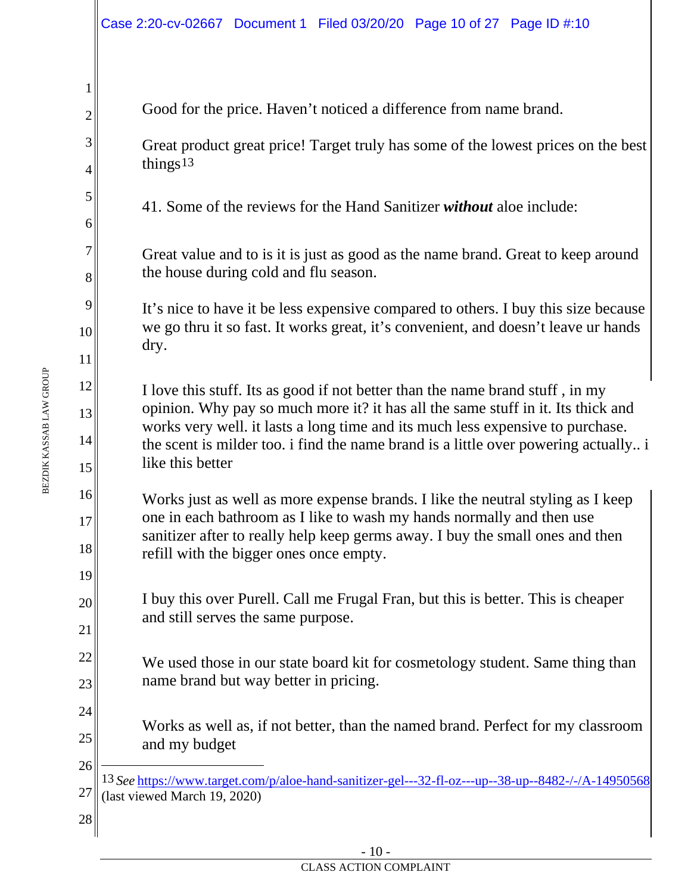<span id="page-9-0"></span>

|                 | Case 2:20-cv-02667 Document 1 Filed 03/20/20 Page 10 of 27 Page ID #:10                                                                                           |  |  |  |  |  |  |
|-----------------|-------------------------------------------------------------------------------------------------------------------------------------------------------------------|--|--|--|--|--|--|
|                 |                                                                                                                                                                   |  |  |  |  |  |  |
| 1               |                                                                                                                                                                   |  |  |  |  |  |  |
| $\overline{2}$  | Good for the price. Haven't noticed a difference from name brand.                                                                                                 |  |  |  |  |  |  |
| 3               | Great product great price! Target truly has some of the lowest prices on the best                                                                                 |  |  |  |  |  |  |
| $\overline{4}$  | things <sup>13</sup>                                                                                                                                              |  |  |  |  |  |  |
| 5               | 41. Some of the reviews for the Hand Sanitizer <i>without</i> aloe include:                                                                                       |  |  |  |  |  |  |
| 6               |                                                                                                                                                                   |  |  |  |  |  |  |
| 7               | Great value and to is it is just as good as the name brand. Great to keep around                                                                                  |  |  |  |  |  |  |
| $8\,$           | the house during cold and flu season.                                                                                                                             |  |  |  |  |  |  |
| 9               | It's nice to have it be less expensive compared to others. I buy this size because                                                                                |  |  |  |  |  |  |
| 10 <sup>1</sup> | we go thru it so fast. It works great, it's convenient, and doesn't leave ur hands<br>dry.                                                                        |  |  |  |  |  |  |
| 11              |                                                                                                                                                                   |  |  |  |  |  |  |
| 12              | I love this stuff. Its as good if not better than the name brand stuff, in my<br>opinion. Why pay so much more it? it has all the same stuff in it. Its thick and |  |  |  |  |  |  |
| 13              | works very well. it lasts a long time and its much less expensive to purchase.                                                                                    |  |  |  |  |  |  |
| 14<br>15        | the scent is milder too. i find the name brand is a little over powering actually i<br>like this better                                                           |  |  |  |  |  |  |
| 16              | Works just as well as more expense brands. I like the neutral styling as I keep                                                                                   |  |  |  |  |  |  |
| 17              | one in each bathroom as I like to wash my hands normally and then use<br>sanitizer after to really help keep germs away. I buy the small ones and then            |  |  |  |  |  |  |
| 18              | refill with the bigger ones once empty.                                                                                                                           |  |  |  |  |  |  |
| 19              |                                                                                                                                                                   |  |  |  |  |  |  |
| 20              | I buy this over Purell. Call me Frugal Fran, but this is better. This is cheaper<br>and still serves the same purpose.                                            |  |  |  |  |  |  |
| 21              |                                                                                                                                                                   |  |  |  |  |  |  |
| 22              | We used those in our state board kit for cosmetology student. Same thing than                                                                                     |  |  |  |  |  |  |
| 23              | name brand but way better in pricing.                                                                                                                             |  |  |  |  |  |  |
| 24              | Works as well as, if not better, than the named brand. Perfect for my classroom                                                                                   |  |  |  |  |  |  |
| 25<br>26        | and my budget                                                                                                                                                     |  |  |  |  |  |  |
| 27              | 13 See https://www.target.com/p/aloe-hand-sanitizer-gel---32-fl-oz---up--38-up--8482-/-/A-14950568                                                                |  |  |  |  |  |  |
| 28              | (last viewed March 19, 2020)                                                                                                                                      |  |  |  |  |  |  |
|                 |                                                                                                                                                                   |  |  |  |  |  |  |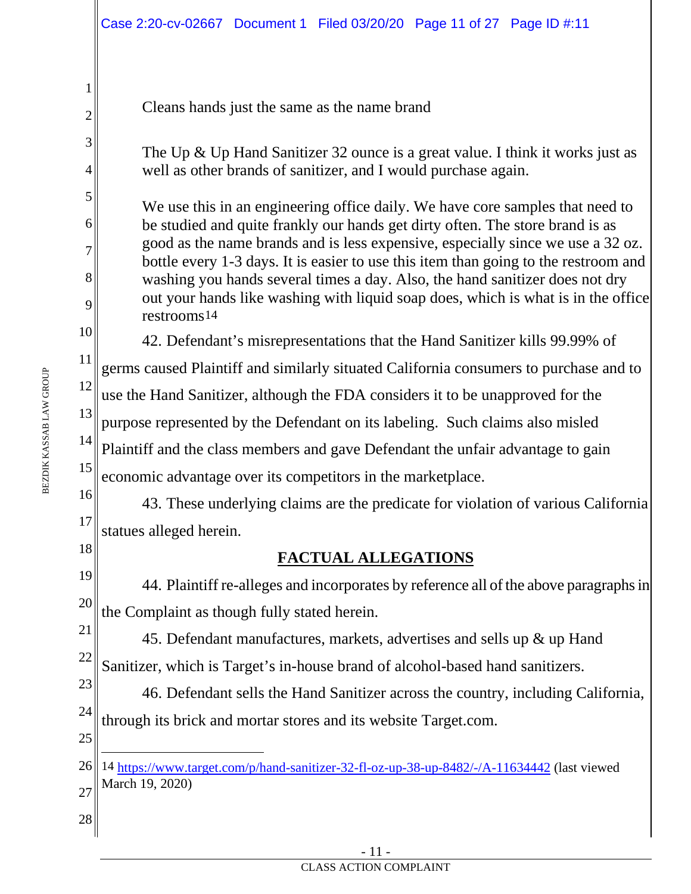|                                        | Case 2:20-cv-02667 Document 1 Filed 03/20/20 Page 11 of 27 Page ID #:11                                                                                                                                                                                                                                                                                                                                                                                                                                                                                                                                    |
|----------------------------------------|------------------------------------------------------------------------------------------------------------------------------------------------------------------------------------------------------------------------------------------------------------------------------------------------------------------------------------------------------------------------------------------------------------------------------------------------------------------------------------------------------------------------------------------------------------------------------------------------------------|
| 1<br>$\overline{2}$<br>3<br>4          | Cleans hands just the same as the name brand<br>The Up $\&$ Up Hand Sanitizer 32 ounce is a great value. I think it works just as                                                                                                                                                                                                                                                                                                                                                                                                                                                                          |
| 5<br>6<br>7<br>8<br>9                  | well as other brands of sanitizer, and I would purchase again.<br>We use this in an engineering office daily. We have core samples that need to<br>be studied and quite frankly our hands get dirty often. The store brand is as<br>good as the name brands and is less expensive, especially since we use a 32 oz.<br>bottle every 1-3 days. It is easier to use this item than going to the restroom and<br>washing you hands several times a day. Also, the hand sanitizer does not dry<br>out your hands like washing with liquid soap does, which is what is in the office<br>restrooms <sup>14</sup> |
| 10<br>11<br>12                         | 42. Defendant's misrepresentations that the Hand Sanitizer kills 99.99% of<br>germs caused Plaintiff and similarly situated California consumers to purchase and to<br>use the Hand Sanitizer, although the FDA considers it to be unapproved for the                                                                                                                                                                                                                                                                                                                                                      |
| 13<br>14<br>15                         | purpose represented by the Defendant on its labeling. Such claims also misled<br>Plaintiff and the class members and gave Defendant the unfair advantage to gain<br>economic advantage over its competitors in the marketplace.                                                                                                                                                                                                                                                                                                                                                                            |
| 16<br>17<br>18                         | 43. These underlying claims are the predicate for violation of various California<br>statues alleged herein.<br><b>FACTUAL ALLEGATIONS</b>                                                                                                                                                                                                                                                                                                                                                                                                                                                                 |
| 19<br>20<br>21<br>22<br>23<br>24<br>25 | 44. Plaintiff re-alleges and incorporates by reference all of the above paragraphs in<br>the Complaint as though fully stated herein.<br>45. Defendant manufactures, markets, advertises and sells up & up Hand<br>Sanitizer, which is Target's in-house brand of alcohol-based hand sanitizers.<br>46. Defendant sells the Hand Sanitizer across the country, including California,<br>through its brick and mortar stores and its website Target.com.                                                                                                                                                    |
| 26<br>27<br>28                         | 14 https://www.target.com/p/hand-sanitizer-32-fl-oz-up-38-up-8482/-/A-11634442 (last viewed<br>March 19, 2020)                                                                                                                                                                                                                                                                                                                                                                                                                                                                                             |

<span id="page-10-0"></span>- 11 -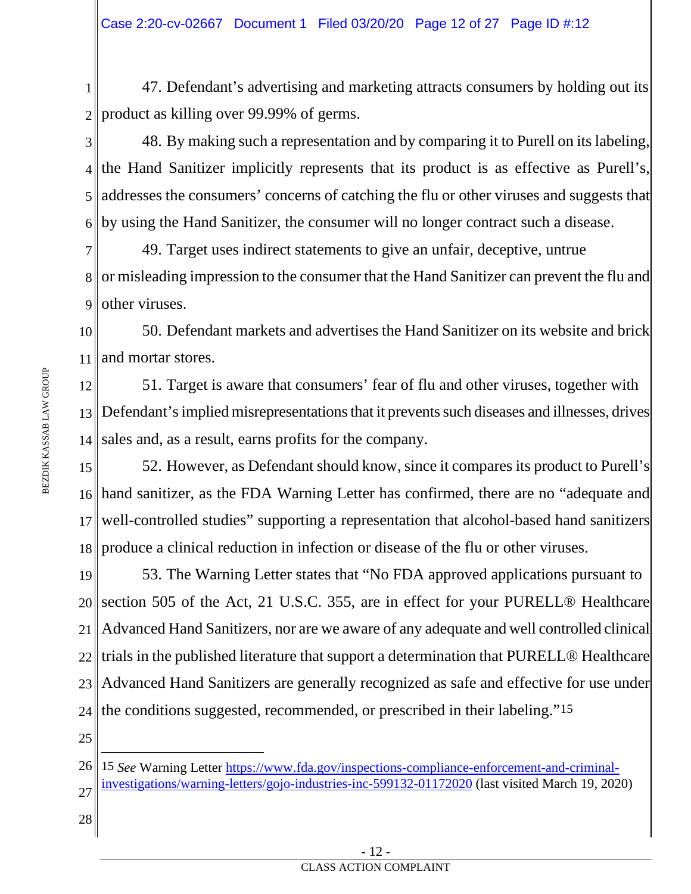1 2 47. Defendant's advertising and marketing attracts consumers by holding out its product as killing over 99.99% of germs.

3 4 5 6 48. By making such a representation and by comparing it to Purell on its labeling, the Hand Sanitizer implicitly represents that its product is as effective as Purell's, addresses the consumers' concerns of catching the flu or other viruses and suggests that by using the Hand Sanitizer, the consumer will no longer contract such a disease.

7 8 or misleading impression to the consumer that the Hand Sanitizer can prevent the flu and 9 49. Target uses indirect statements to give an unfair, deceptive, untrue other viruses.

10 11 50. Defendant markets and advertises the Hand Sanitizer on its website and brick and mortar stores.

12 13 Defendant's implied misrepresentations that it prevents such diseases and illnesses, drives 14 51. Target is aware that consumers' fear of flu and other viruses, together with sales and, as a result, earns profits for the company.

15 16 17 18 52. However, as Defendant should know, since it compares its product to Purell's hand sanitizer, as the FDA Warning Letter has confirmed, there are no "adequate and well-controlled studies" supporting a representation that alcohol-based hand sanitizers produce a clinical reduction in infection or disease of the flu or other viruses.

19 20 21 22 23 24 53. The Warning Letter states that "No FDA approved applications pursuant to section 505 of the Act, 21 U.S.C. 355, are in effect for your PURELL® Healthcare Advanced Hand Sanitizers, nor are we aware of any adequate and well controlled clinical trials in the published literature that support a determination that PURELL® Healthcare Advanced Hand Sanitizers are generally recognized as safe and effective for use under the conditions suggested, recommended, or prescribed in their labeling."[15](#page-11-0)

25

<span id="page-11-0"></span><sup>26</sup> 27 15 *See* Warning Letter [https://www.fda.gov/inspections-compliance-enforcement-and-criminal](https://www.fda.gov/inspections-compliance-enforcement-and-criminal-investigations/warning-letters/gojo-industries-inc-599132-01172020)[investigations/warning-letters/gojo-industries-inc-599132-01172020](https://www.fda.gov/inspections-compliance-enforcement-and-criminal-investigations/warning-letters/gojo-industries-inc-599132-01172020) (last visited March 19, 2020)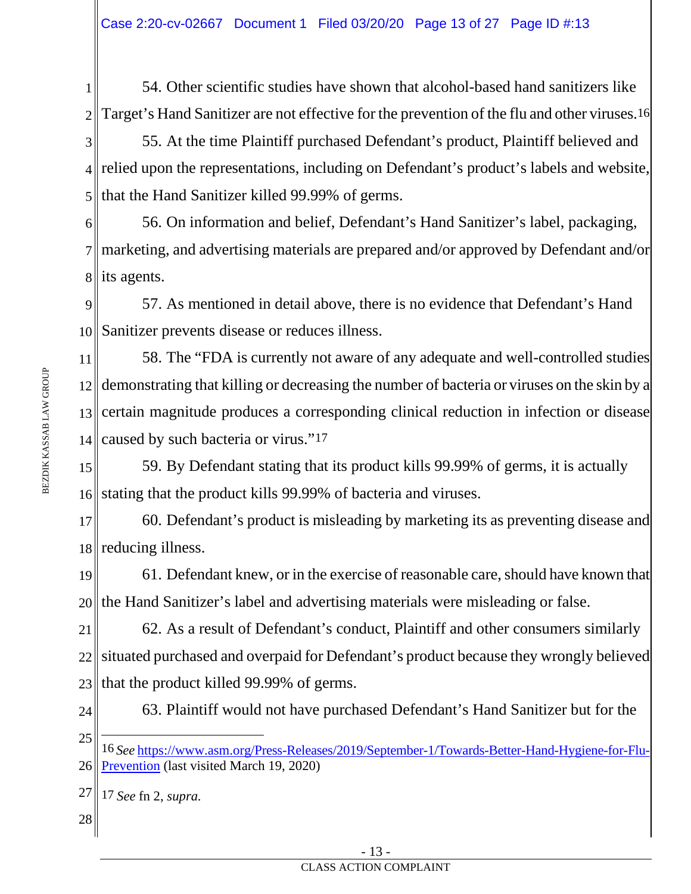1 2 54. Other scientific studies have shown that alcohol-based hand sanitizers like Target's Hand Sanitizer are not effective for the prevention of the flu and other viruses.[16](#page-12-0)

3 4 relied upon the representations, including on Defendant's product's labels and website, 5 55. At the time Plaintiff purchased Defendant's product, Plaintiff believed and that the Hand Sanitizer killed 99.99% of germs.

6 7 marketing, and advertising materials are prepared and/or approved by Defendant and/or 8∥ its agents. 56. On information and belief, Defendant's Hand Sanitizer's label, packaging,

9 10 Sanitizer prevents disease or reduces illness. 57. As mentioned in detail above, there is no evidence that Defendant's Hand

11 12 13 14 58. The "FDA is currently not aware of any adequate and well-controlled studies demonstrating that killing or decreasing the number of bacteria or viruses on the skin by a certain magnitude produces a corresponding clinical reduction in infection or disease caused by such bacteria or virus.["17](#page-12-1)

15 16 stating that the product kills 99.99% of bacteria and viruses. 59. By Defendant stating that its product kills 99.99% of germs, it is actually

17 18 reducing illness. 60. Defendant's product is misleading by marketing its as preventing disease and

19 20 61. Defendant knew, or in the exercise of reasonable care, should have known that the Hand Sanitizer's label and advertising materials were misleading or false.

21 22 23 62. As a result of Defendant's conduct, Plaintiff and other consumers similarly situated purchased and overpaid for Defendant's product because they wrongly believed that the product killed 99.99% of germs.

24

63. Plaintiff would not have purchased Defendant's Hand Sanitizer but for the

<span id="page-12-0"></span>25 26 16 *See* [https://www.asm.org/Press-Releases/2019/September-1/Towards-Better-Hand-Hygiene-for-Flu-](https://www.asm.org/Press-Releases/2019/September-1/Towards-Better-Hand-Hygiene-for-Flu-Prevention)[Prevention](https://www.asm.org/Press-Releases/2019/September-1/Towards-Better-Hand-Hygiene-for-Flu-Prevention) (last visited March 19, 2020)

<span id="page-12-1"></span><sup>27</sup> 17 *See* fn 2, *supra.*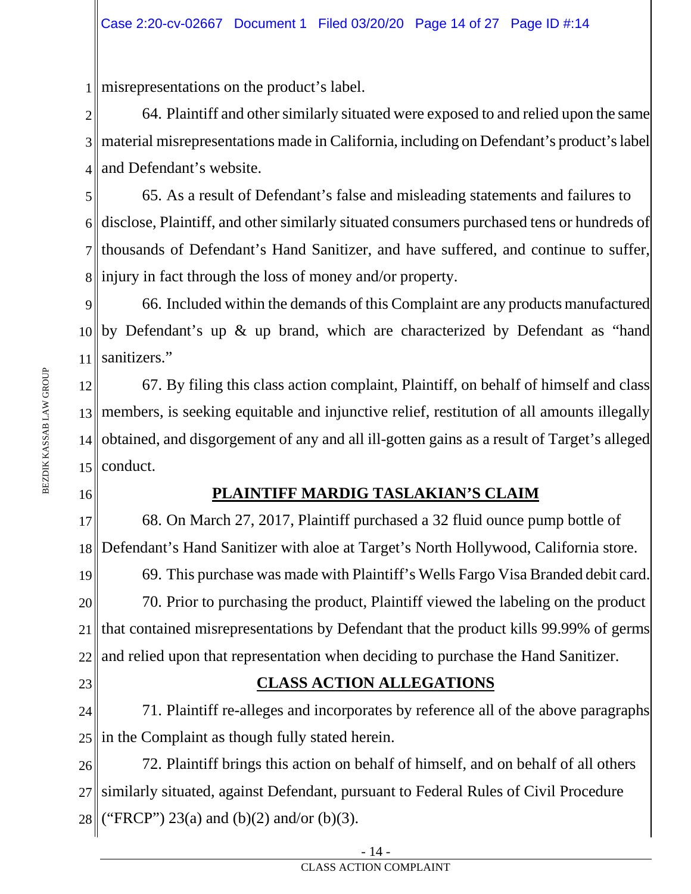1 misrepresentations on the product's label.

2 3 material misrepresentations made in California, including on Defendant's product'slabel 4 64. Plaintiff and other similarly situated were exposed to and relied upon the same and Defendant's website.

5 6 7 thousands of Defendant's Hand Sanitizer, and have suffered, and continue to suffer, 8 injury in fact through the loss of money and/or property. 65. As a result of Defendant's false and misleading statements and failures to disclose, Plaintiff, and other similarly situated consumers purchased tens or hundreds of

9 10 by Defendant's up & up brand, which are characterized by Defendant as "hand 11 66. Included within the demands of this Complaint are any products manufactured sanitizers."

12 13 members, is seeking equitable and injunctive relief, restitution of all amounts illegally 14 obtained, and disgorgement of any and all ill-gotten gains as a result of Target's alleged  $15$  conduct. 67. By filing this class action complaint, Plaintiff, on behalf of himself and class

16

## **PLAINTIFF MARDIG TASLAKIAN'S CLAIM**

17 18 68. On March 27, 2017, Plaintiff purchased a 32 fluid ounce pump bottle of Defendant's Hand Sanitizer with aloe at Target's North Hollywood, California store.

19 20 21 22 69. This purchase was made with Plaintiff's Wells Fargo Visa Branded debit card. 70. Prior to purchasing the product, Plaintiff viewed the labeling on the product that contained misrepresentations by Defendant that the product kills 99.99% of germs and relied upon that representation when deciding to purchase the Hand Sanitizer.

23

## **CLASS ACTION ALLEGATIONS**

24 25 71. Plaintiff re-alleges and incorporates by reference all of the above paragraphs in the Complaint as though fully stated herein.

26 27 28 72. Plaintiff brings this action on behalf of himself, and on behalf of all others similarly situated, against Defendant, pursuant to Federal Rules of Civil Procedure ("FRCP") 23(a) and (b)(2) and/or (b)(3).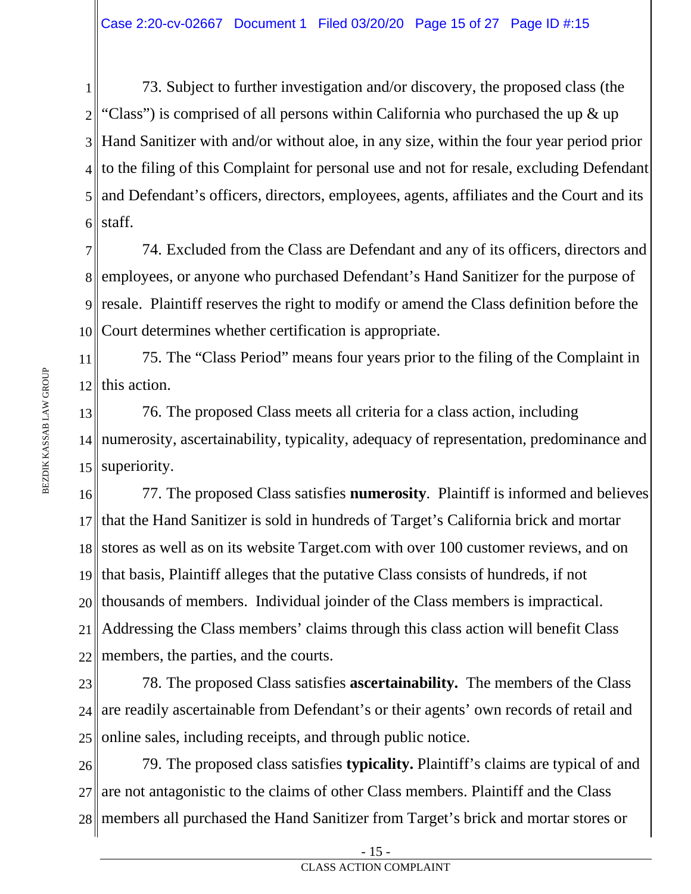1 2 3 Hand Sanitizer with and/or without aloe, in any size, within the four year period prior 4 to the filing of this Complaint for personal use and not for resale, excluding Defendant 5 6 73. Subject to further investigation and/or discovery, the proposed class (the "Class") is comprised of all persons within California who purchased the up  $\&$  up and Defendant's officers, directors, employees, agents, affiliates and the Court and its staff.

7 8 employees, or anyone who purchased Defendant's Hand Sanitizer for the purpose of 9 resale. Plaintiff reserves the right to modify or amend the Class definition before the 10 74. Excluded from the Class are Defendant and any of its officers, directors and Court determines whether certification is appropriate.

11 12 75. The "Class Period" means four years prior to the filing of the Complaint in this action.

13 14 numerosity, ascertainability, typicality, adequacy of representation, predominance and 15 superiority. 76. The proposed Class meets all criteria for a class action, including

16 17 18 19 20 21 22 77. The proposed Class satisfies **numerosity**. Plaintiff is informed and believes that the Hand Sanitizer is sold in hundreds of Target's California brick and mortar stores as well as on its website Target.com with over 100 customer reviews, and on that basis, Plaintiff alleges that the putative Class consists of hundreds, if not thousands of members. Individual joinder of the Class members is impractical. Addressing the Class members' claims through this class action will benefit Class members, the parties, and the courts.

23 24 25 78. The proposed Class satisfies **ascertainability.** The members of the Class are readily ascertainable from Defendant's or their agents' own records of retail and online sales, including receipts, and through public notice.

26 27 28 members all purchased the Hand Sanitizer from Target's brick and mortar stores or 79. The proposed class satisfies **typicality.** Plaintiff's claims are typical of and are not antagonistic to the claims of other Class members. Plaintiff and the Class

<sup>-</sup> 15 -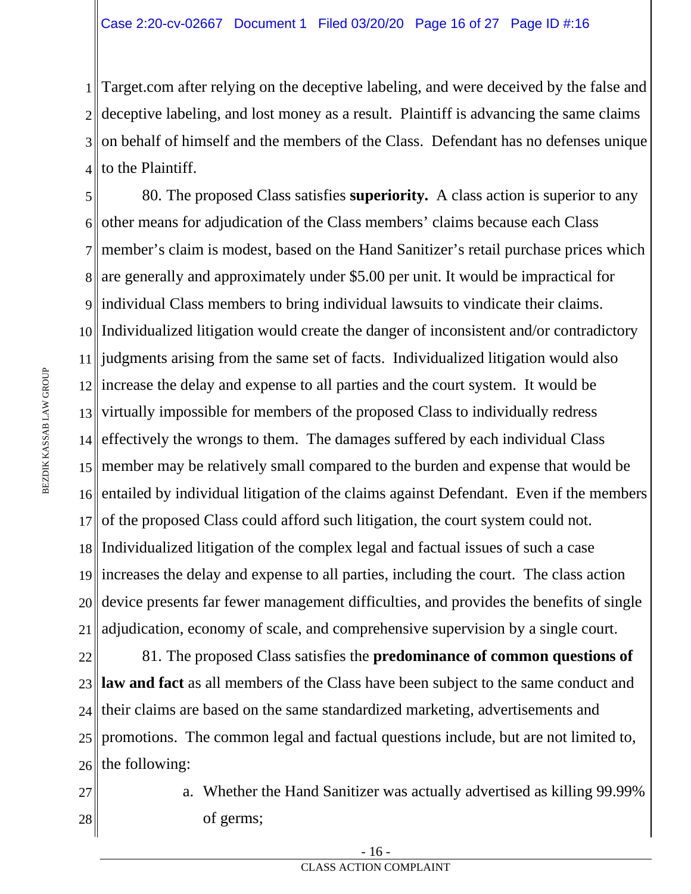1 Target.com after relying on the deceptive labeling, and were deceived by the false and 2 deceptive labeling, and lost money as a result. Plaintiff is advancing the same claims 3 on behalf of himself and the members of the Class. Defendant has no defenses unique 4 to the Plaintiff.

5 6 7 8 are generally and approximately under \$5.00 per unit. It would be impractical for 9 individual Class members to bring individual lawsuits to vindicate their claims. 10 Individualized litigation would create the danger of inconsistent and/or contradictory 11 judgments arising from the same set of facts. Individualized litigation would also 12 increase the delay and expense to all parties and the court system. It would be 13 virtually impossible for members of the proposed Class to individually redress 14 effectively the wrongs to them. The damages suffered by each individual Class 15 member may be relatively small compared to the burden and expense that would be 16 17 18 19 20 21 80. The proposed Class satisfies **superiority.** A class action is superior to any other means for adjudication of the Class members' claims because each Class member's claim is modest, based on the Hand Sanitizer's retail purchase prices which entailed by individual litigation of the claims against Defendant. Even if the members of the proposed Class could afford such litigation, the court system could not. Individualized litigation of the complex legal and factual issues of such a case increases the delay and expense to all parties, including the court. The class action device presents far fewer management difficulties, and provides the benefits of single adjudication, economy of scale, and comprehensive supervision by a single court.

22 23 24 25 26 81. The proposed Class satisfies the **predominance of common questions of law and fact** as all members of the Class have been subject to the same conduct and their claims are based on the same standardized marketing, advertisements and promotions. The common legal and factual questions include, but are not limited to, the following:

27 28 a. Whether the Hand Sanitizer was actually advertised as killing 99.99% of germs;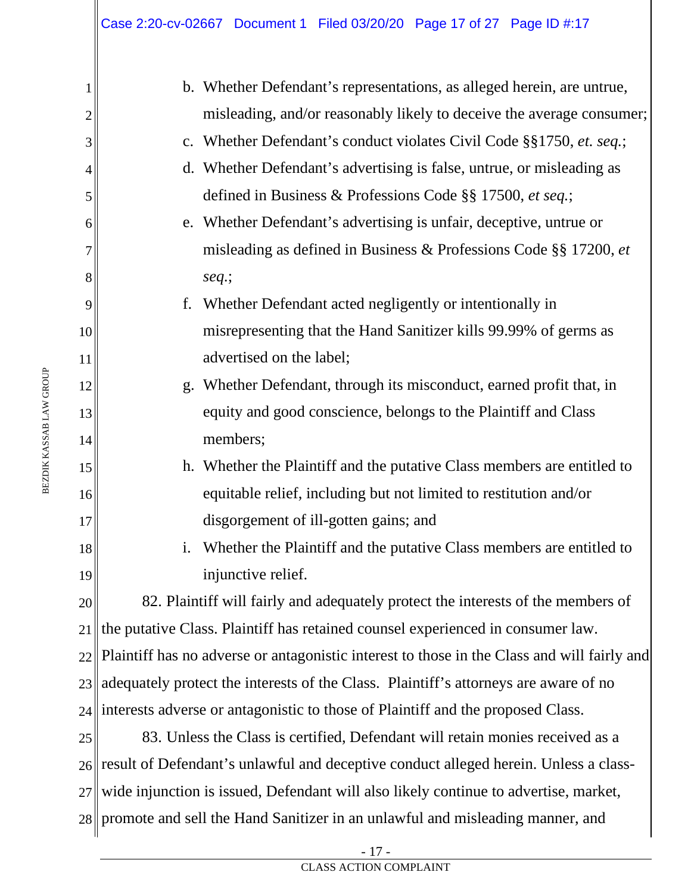|    | b. Whether Defendant's representations, as alleged herein, are untrue,                      |
|----|---------------------------------------------------------------------------------------------|
| 2  | misleading, and/or reasonably likely to deceive the average consumer;                       |
| 3  | c. Whether Defendant's conduct violates Civil Code §§1750, et. seq.;                        |
| 4  | Whether Defendant's advertising is false, untrue, or misleading as<br>$\mathbf{d}$ .        |
| 5  | defined in Business & Professions Code §§ 17500, et seq.;                                   |
| 6  | e. Whether Defendant's advertising is unfair, deceptive, untrue or                          |
| 7  | misleading as defined in Business & Professions Code §§ 17200, et                           |
| 8  | $seq$ .;                                                                                    |
| 9  | f.<br>Whether Defendant acted negligently or intentionally in                               |
| 10 | misrepresenting that the Hand Sanitizer kills 99.99% of germs as                            |
| 11 | advertised on the label;                                                                    |
| 12 | g. Whether Defendant, through its misconduct, earned profit that, in                        |
| 13 | equity and good conscience, belongs to the Plaintiff and Class                              |
| 14 | members;                                                                                    |
| 15 | h. Whether the Plaintiff and the putative Class members are entitled to                     |
| 16 | equitable relief, including but not limited to restitution and/or                           |
| 17 | disgorgement of ill-gotten gains; and                                                       |
| 18 | i.<br>Whether the Plaintiff and the putative Class members are entitled to                  |
| 19 | injunctive relief.                                                                          |
| 20 | 82. Plaintiff will fairly and adequately protect the interests of the members of            |
| 21 | the putative Class. Plaintiff has retained counsel experienced in consumer law.             |
| 22 | Plaintiff has no adverse or antagonistic interest to those in the Class and will fairly and |
| 23 | adequately protect the interests of the Class. Plaintiff's attorneys are aware of no        |
| 24 | interests adverse or antagonistic to those of Plaintiff and the proposed Class.             |
| 25 | 83. Unless the Class is certified, Defendant will retain monies received as a               |
| 26 | result of Defendant's unlawful and deceptive conduct alleged herein. Unless a class-        |
| 27 | wide injunction is issued, Defendant will also likely continue to advertise, market,        |
|    |                                                                                             |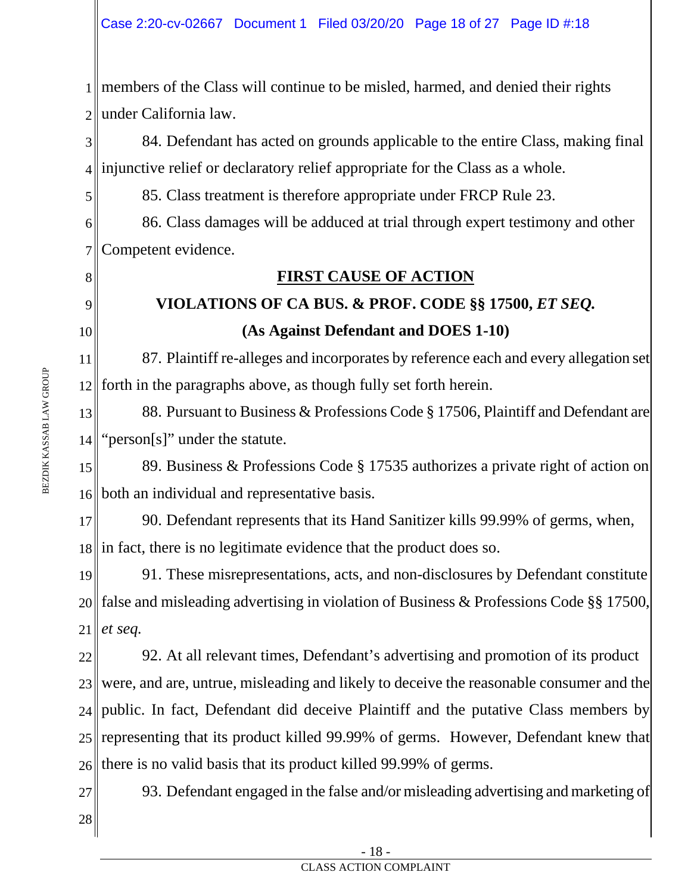1 members of the Class will continue to be misled, harmed, and denied their rights 2 under California law.

3 4 injunctive relief or declaratory relief appropriate for the Class as a whole. 84. Defendant has acted on grounds applicable to the entire Class, making final

85. Class treatment is therefore appropriate under FRCP Rule 23.

6 7 86. Class damages will be adduced at trial through expert testimony and other Competent evidence.

## **FIRST CAUSE OF ACTION**

# **VIOLATIONS OF CA BUS. & PROF. CODE §§ 17500,** *ET SEQ.* **(As Against Defendant and DOES 1-10)**

11 12 87. Plaintiff re-alleges and incorporates by reference each and every allegation set forth in the paragraphs above, as though fully set forth herein.

13 14 88. Pursuant to Business & Professions Code § 17506, Plaintiff and Defendant are "person[s]" under the statute.

15 16 both an individual and representative basis. 89. Business & Professions Code § 17535 authorizes a private right of action on

17 18 in fact, there is no legitimate evidence that the product does so. 90. Defendant represents that its Hand Sanitizer kills 99.99% of germs, when,

19 20 21 91. These misrepresentations, acts, and non-disclosures by Defendant constitute false and misleading advertising in violation of Business & Professions Code §§ 17500, *et seq.*

22 23 24 25 26 92. At all relevant times, Defendant's advertising and promotion of its product were, and are, untrue, misleading and likely to deceive the reasonable consumer and the public. In fact, Defendant did deceive Plaintiff and the putative Class members by representing that its product killed 99.99% of germs. However, Defendant knew that there is no valid basis that its product killed 99.99% of germs.

27 28 93. Defendant engaged in the false and/or misleading advertising and marketing of

5

8

9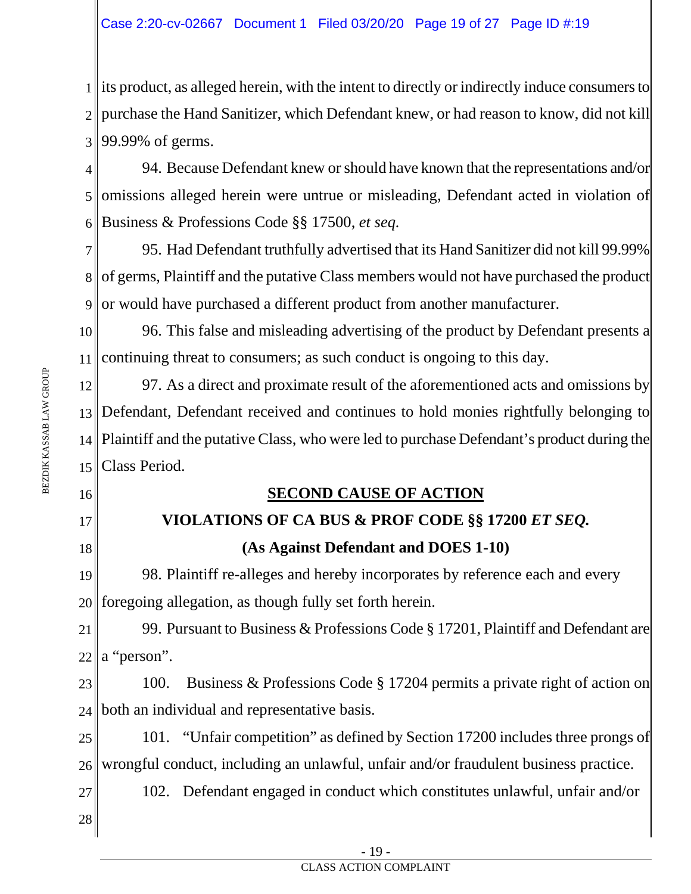1 its product, as alleged herein, with the intent to directly or indirectly induce consumers to 2 purchase the Hand Sanitizer, which Defendant knew, or had reason to know, did not kill 3 99.99% of germs.

4 5 6 94. Because Defendant knew or should have known that the representations and/or omissions alleged herein were untrue or misleading, Defendant acted in violation of Business & Professions Code §§ 17500, *et seq.* 

7 8 of germs, Plaintiff and the putative Class members would not have purchased the product 9|| or would have purchased a different product from another manufacturer. 95. Had Defendant truthfully advertised that its Hand Sanitizer did not kill 99.99%

10 11 96. This false and misleading advertising of the product by Defendant presents a continuing threat to consumers; as such conduct is ongoing to this day.

12 13 Defendant, Defendant received and continues to hold monies rightfully belonging to 14 Plaintiff and the putative Class, who were led to purchase Defendant's product during the 15 Class Period. 97. As a direct and proximate result of the aforementioned acts and omissions by

16

BEZDIK KASSAB LAW GROUP

BEZDIK KASSAB LAW GROUP

- 17
- 18

## **SECOND CAUSE OF ACTION**

# **VIOLATIONS OF CA BUS & PROF CODE §§ 17200** *ET SEQ.* **(As Against Defendant and DOES 1-10)**

19 20 98. Plaintiff re-alleges and hereby incorporates by reference each and every foregoing allegation, as though fully set forth herein.

21 22 99. Pursuant to Business & Professions Code § 17201, Plaintiff and Defendant are a "person".

23 24 100. Business & Professions Code § 17204 permits a private right of action on both an individual and representative basis.

25 26 101. "Unfair competition" as defined by Section 17200 includes three prongs of wrongful conduct, including an unlawful, unfair and/or fraudulent business practice.

102. Defendant engaged in conduct which constitutes unlawful, unfair and/or

28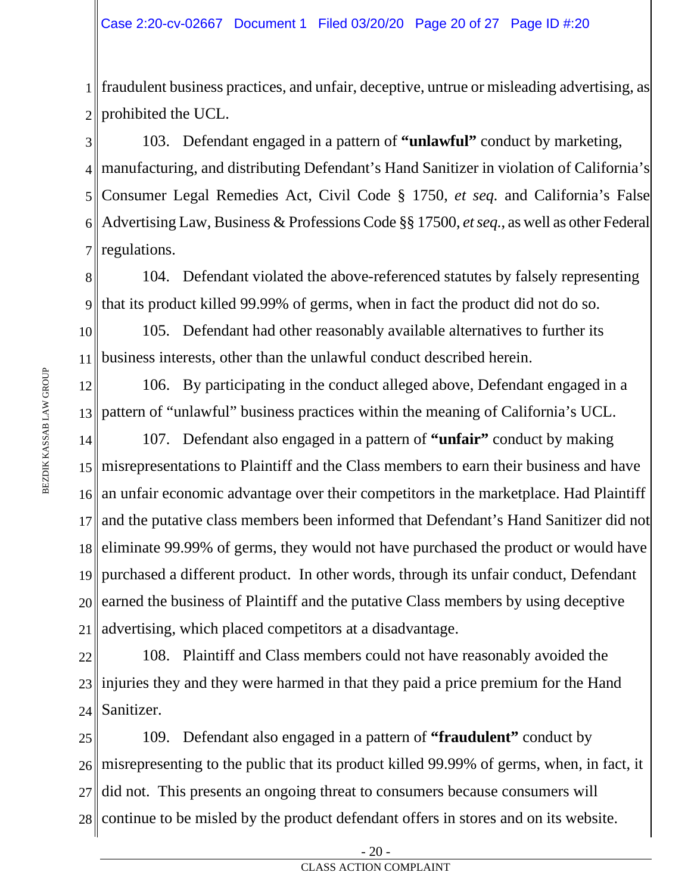1 fraudulent business practices, and unfair, deceptive, untrue or misleading advertising, as 2 prohibited the UCL.

3 4 manufacturing, and distributing Defendant's Hand Sanitizer in violation of California's 5 6 7 103. Defendant engaged in a pattern of **"unlawful"** conduct by marketing, Consumer Legal Remedies Act, Civil Code § 1750, *et seq.* and California's False Advertising Law, Business & Professions Code §§ 17500, *et seq.*, as well as other Federal regulations.

8 9 104. Defendant violated the above-referenced statutes by falsely representing that its product killed 99.99% of germs, when in fact the product did not do so.

10 11 105. Defendant had other reasonably available alternatives to further its business interests, other than the unlawful conduct described herein.

12 13 106. By participating in the conduct alleged above, Defendant engaged in a pattern of "unlawful" business practices within the meaning of California's UCL.

14 15 misrepresentations to Plaintiff and the Class members to earn their business and have 16 17 18 19 20 21 107. Defendant also engaged in a pattern of **"unfair"** conduct by making an unfair economic advantage over their competitors in the marketplace. Had Plaintiff and the putative class members been informed that Defendant's Hand Sanitizer did not eliminate 99.99% of germs, they would not have purchased the product or would have purchased a different product. In other words, through its unfair conduct, Defendant earned the business of Plaintiff and the putative Class members by using deceptive advertising, which placed competitors at a disadvantage.

22 23 24 108. Plaintiff and Class members could not have reasonably avoided the injuries they and they were harmed in that they paid a price premium for the Hand Sanitizer.

25 26 27 28 109. Defendant also engaged in a pattern of **"fraudulent"** conduct by misrepresenting to the public that its product killed 99.99% of germs, when, in fact, it did not. This presents an ongoing threat to consumers because consumers will continue to be misled by the product defendant offers in stores and on its website.

<sup>-</sup> 20 -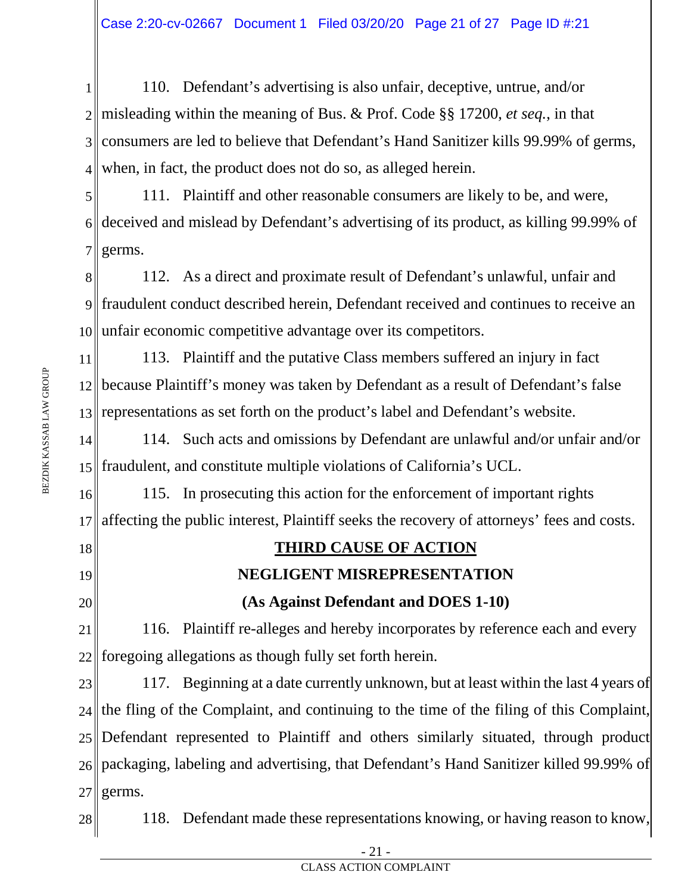1 2 misleading within the meaning of Bus. & Prof. Code §§ 17200, *et seq.*, in that 3 4 110. Defendant's advertising is also unfair, deceptive, untrue, and/or consumers are led to believe that Defendant's Hand Sanitizer kills 99.99% of germs, when, in fact, the product does not do so, as alleged herein.

5 6 7 111. Plaintiff and other reasonable consumers are likely to be, and were, deceived and mislead by Defendant's advertising of its product, as killing 99.99% of germs.

8 9 10 unfair economic competitive advantage over its competitors. 112. As a direct and proximate result of Defendant's unlawful, unfair and fraudulent conduct described herein, Defendant received and continues to receive an

11 12 13 113. Plaintiff and the putative Class members suffered an injury in fact because Plaintiff's money was taken by Defendant as a result of Defendant's false representations as set forth on the product's label and Defendant's website.

14 15 fraudulent, and constitute multiple violations of California's UCL. 114. Such acts and omissions by Defendant are unlawful and/or unfair and/or

16 17 115. In prosecuting this action for the enforcement of important rights affecting the public interest, Plaintiff seeks the recovery of attorneys' fees and costs.

18 19

20

# **THIRD CAUSE OF ACTION**

## **NEGLIGENT MISREPRESENTATION**

## **(As Against Defendant and DOES 1-10)**

21 22 116. Plaintiff re-alleges and hereby incorporates by reference each and every foregoing allegations as though fully set forth herein.

23 24 25 26 packaging, labeling and advertising, that Defendant's Hand Sanitizer killed 99.99% of 27 117. Beginning at a date currently unknown, but at least within the last 4 years of the fling of the Complaint, and continuing to the time of the filing of this Complaint, Defendant represented to Plaintiff and others similarly situated, through product germs.

28

118. Defendant made these representations knowing, or having reason to know,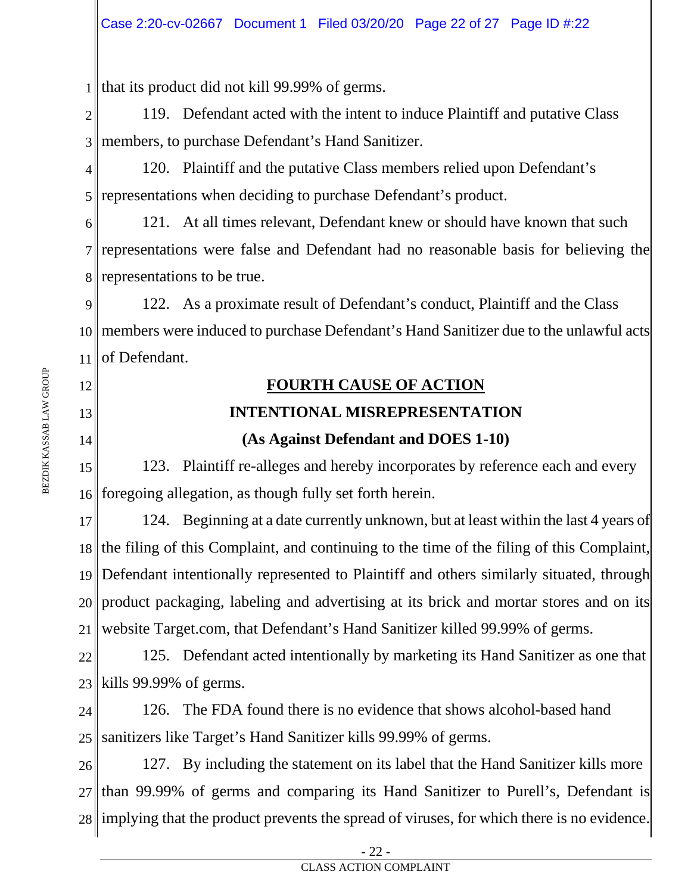1 that its product did not kill 99.99% of germs.

2 3 members, to purchase Defendant's Hand Sanitizer. 119. Defendant acted with the intent to induce Plaintiff and putative Class

4 5 120. Plaintiff and the putative Class members relied upon Defendant's representations when deciding to purchase Defendant's product.

6 7 representations were false and Defendant had no reasonable basis for believing the 8 representations to be true. 121. At all times relevant, Defendant knew or should have known that such

9 10 members were induced to purchase Defendant's Hand Sanitizer due to the unlawful acts 11 of Defendant. 122. As a proximate result of Defendant's conduct, Plaintiff and the Class

## **FOURTH CAUSE OF ACTION**

## **INTENTIONAL MISREPRESENTATION**

## **(As Against Defendant and DOES 1-10)**

15 16 foregoing allegation, as though fully set forth herein. 123. Plaintiff re-alleges and hereby incorporates by reference each and every

17 18 19 20 21 124. Beginning at a date currently unknown, but at least within the last 4 years of the filing of this Complaint, and continuing to the time of the filing of this Complaint, Defendant intentionally represented to Plaintiff and others similarly situated, through product packaging, labeling and advertising at its brick and mortar stores and on its website Target.com, that Defendant's Hand Sanitizer killed 99.99% of germs.

22 23 kills 99.99% of germs. 125. Defendant acted intentionally by marketing its Hand Sanitizer as one that

24 25 126. The FDA found there is no evidence that shows alcohol-based hand sanitizers like Target's Hand Sanitizer kills 99.99% of germs.

26 27 28 implying that the product prevents the spread of viruses, for which there is no evidence. 127. By including the statement on its label that the Hand Sanitizer kills more than 99.99% of germs and comparing its Hand Sanitizer to Purell's, Defendant is

12

13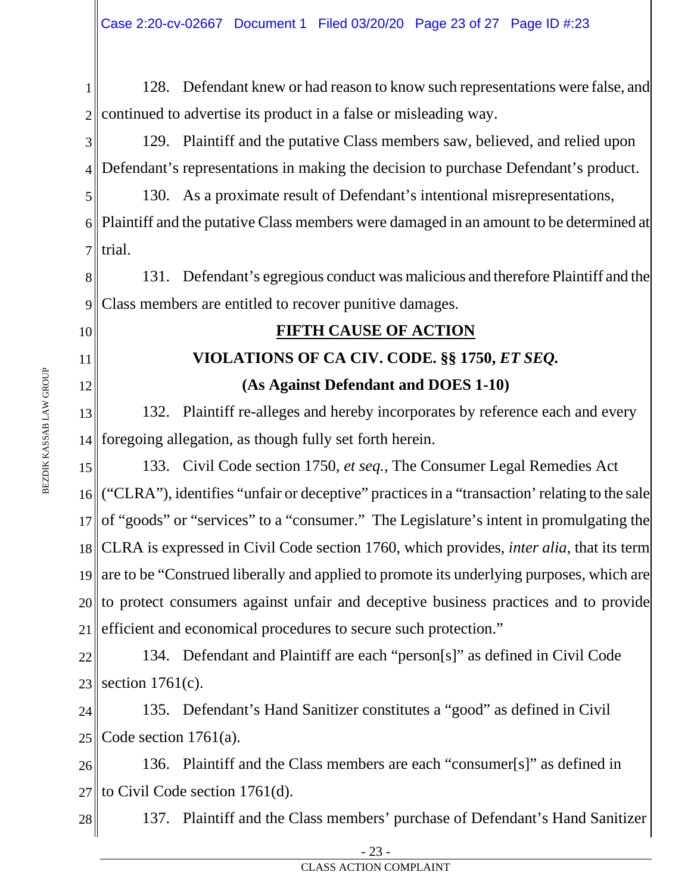1 2 128. Defendant knew or had reason to know such representations were false, and continued to advertise its product in a false or misleading way.

3 4 129. Plaintiff and the putative Class members saw, believed, and relied upon Defendant's representations in making the decision to purchase Defendant's product.

5 6 Plaintiff and the putative Class members were damaged in an amount to be determined at 7 130. As a proximate result of Defendant's intentional misrepresentations,  $\parallel$ trial.

8 9 131. Defendant's egregious conduct was malicious and therefore Plaintiff and the Class members are entitled to recover punitive damages.

10

11

12

## **FIFTH CAUSE OF ACTION**

## **VIOLATIONS OF CA CIV. CODE. §§ 1750,** *ET SEQ.* **(As Against Defendant and DOES 1-10)**

13 14 132. Plaintiff re-alleges and hereby incorporates by reference each and every foregoing allegation, as though fully set forth herein.

15 16 ("CLRA"), identifies "unfair or deceptive" practices in a "transaction' relating to the sale 17 of "goods" or "services" to a "consumer." The Legislature's intent in promulgating the 18 CLRA is expressed in Civil Code section 1760, which provides, *inter alia*, that its term 19 20 21 133. Civil Code section 1750, *et seq.*, The Consumer Legal Remedies Act are to be "Construed liberally and applied to promote its underlying purposes, which are to protect consumers against unfair and deceptive business practices and to provide efficient and economical procedures to secure such protection."

22 23 section 1761(c). 134. Defendant and Plaintiff are each "person[s]" as defined in Civil Code

24 25 135. Defendant's Hand Sanitizer constitutes a "good" as defined in Civil Code section 1761(a).

26 27 136. Plaintiff and the Class members are each "consumer[s]" as defined in  $\parallel$  to Civil Code section 1761(d).

28 137. Plaintiff and the Class members' purchase of Defendant's Hand Sanitizer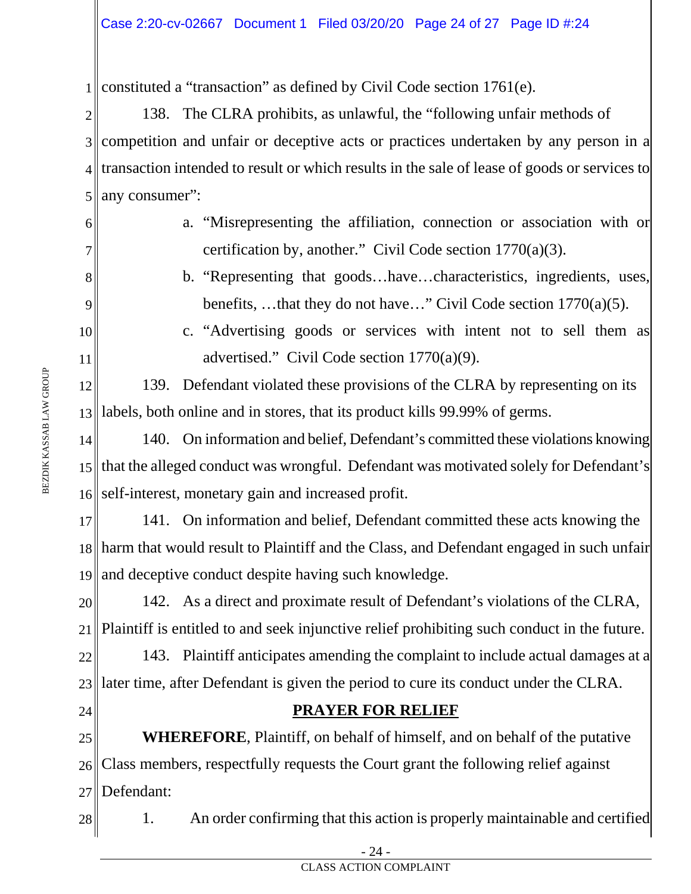1 constituted a "transaction" as defined by Civil Code section 1761(e).

2 3 4 5 138. The CLRA prohibits, as unlawful, the "following unfair methods of competition and unfair or deceptive acts or practices undertaken by any person in a transaction intended to result or which results in the sale of lease of goods or services to any consumer":

- a. "Misrepresenting the affiliation, connection or association with or certification by, another." Civil Code section 1770(a)(3).
- b. "Representing that goods…have…characteristics, ingredients, uses, benefits, …that they do not have…" Civil Code section 1770(a)(5).
- c. "Advertising goods or services with intent not to sell them as advertised." Civil Code section 1770(a)(9).

12 13 labels, both online and in stores, that its product kills 99.99% of germs. 139. Defendant violated these provisions of the CLRA by representing on its

14 15 that the alleged conduct was wrongful. Defendant was motivated solely for Defendant's 16 140. On information and belief, Defendant's committed these violations knowing self-interest, monetary gain and increased profit.

17 18 19 141. On information and belief, Defendant committed these acts knowing the harm that would result to Plaintiff and the Class, and Defendant engaged in such unfair and deceptive conduct despite having such knowledge.

20 21 142. As a direct and proximate result of Defendant's violations of the CLRA, Plaintiff is entitled to and seek injunctive relief prohibiting such conduct in the future.

22 23 later time, after Defendant is given the period to cure its conduct under the CLRA. 143. Plaintiff anticipates amending the complaint to include actual damages at a

24

## **PRAYER FOR RELIEF**

25 26 27 **WHEREFORE**, Plaintiff, on behalf of himself, and on behalf of the putative Class members, respectfully requests the Court grant the following relief against Defendant:

28 1. An order confirming that this action is properly maintainable and certified

6

7

8

9

10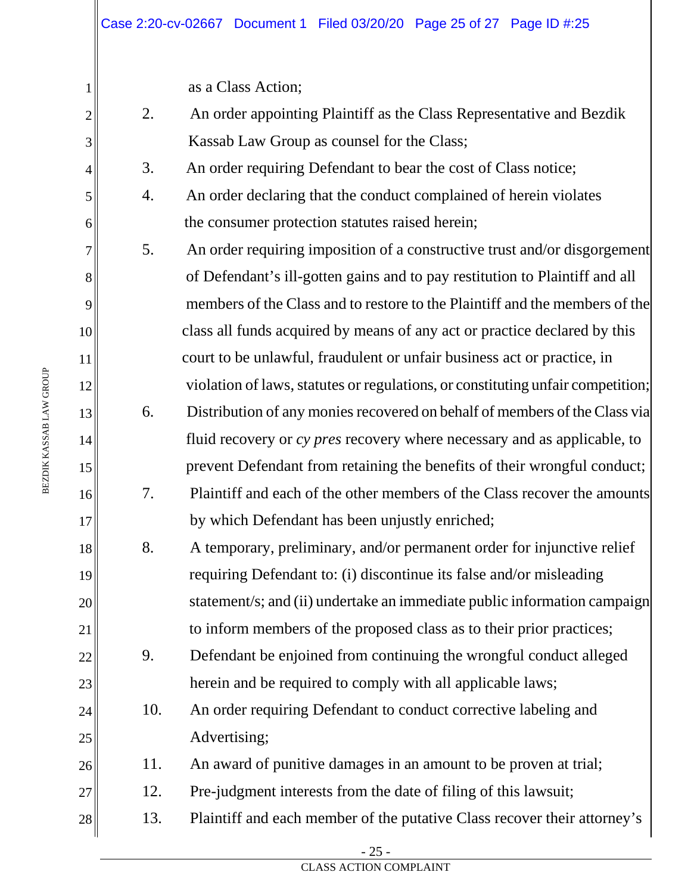as a Class Action;

2. An order appointing Plaintiff as the Class Representative and Bezdik Kassab Law Group as counsel for the Class;

3. An order requiring Defendant to bear the cost of Class notice;

- 4. An order declaring that the conduct complained of herein violates the consumer protection statutes raised herein;
- 5. An order requiring imposition of a constructive trust and/or disgorgement of Defendant's ill-gotten gains and to pay restitution to Plaintiff and all members of the Class and to restore to the Plaintiff and the members of the class all funds acquired by means of any act or practice declared by this court to be unlawful, fraudulent or unfair business act or practice, in violation of laws, statutes or regulations, or constituting unfair competition; 6. Distribution of any monies recovered on behalf of members of the Class via fluid recovery or *cy pres* recovery where necessary and as applicable, to prevent Defendant from retaining the benefits of their wrongful conduct;
- 7. Plaintiff and each of the other members of the Class recover the amounts by which Defendant has been unjustly enriched;
- 8. A temporary, preliminary, and/or permanent order for injunctive relief requiring Defendant to: (i) discontinue its false and/or misleading statement/s; and (ii) undertake an immediate public information campaign to inform members of the proposed class as to their prior practices;
- 9. Defendant be enjoined from continuing the wrongful conduct alleged herein and be required to comply with all applicable laws;
- 10. An order requiring Defendant to conduct corrective labeling and Advertising;

26 11. An award of punitive damages in an amount to be proven at trial;

- 27 12. Pre-judgment interests from the date of filing of this lawsuit;
- 28 13. Plaintiff and each member of the putative Class recover their attorney's

1

2

3

4

5

6

7

8

9

10

11

12

13

14

15

16

17

18

19

20

21

22

23

24

25

- 25 -

CLASS ACTION COMPLAINT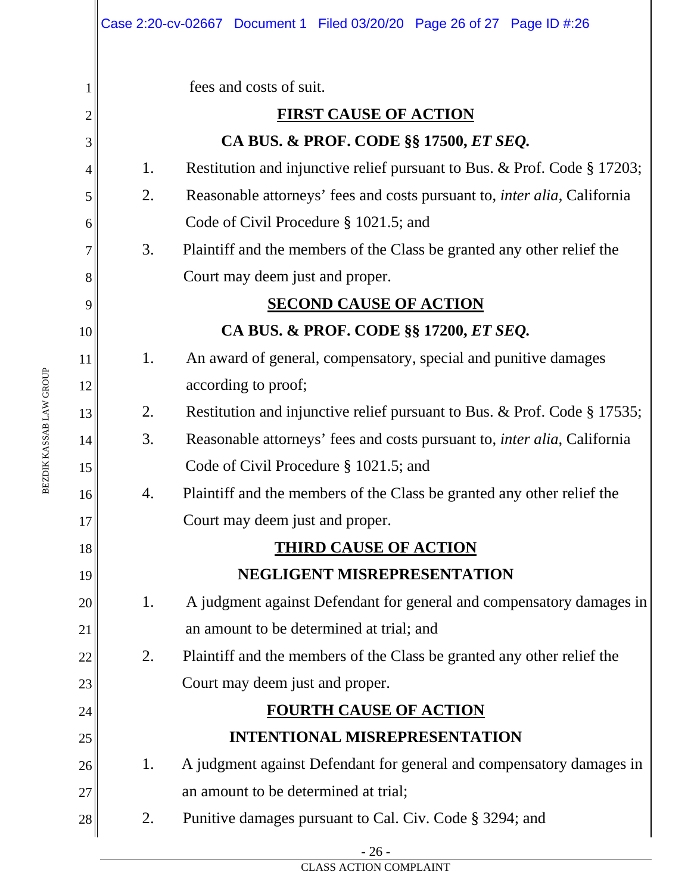|    |    | Case 2:20-cv-02667 Document 1 Filed 03/20/20 Page 26 of 27 Page ID #:26          |
|----|----|----------------------------------------------------------------------------------|
| 1  |    | fees and costs of suit.                                                          |
| 2  |    | <b>FIRST CAUSE OF ACTION</b>                                                     |
| 3  |    | CA BUS. & PROF. CODE §§ 17500, ET SEQ.                                           |
| 4  | 1. | Restitution and injunctive relief pursuant to Bus. & Prof. Code § 17203;         |
| 5  | 2. | Reasonable attorneys' fees and costs pursuant to, <i>inter alia</i> , California |
| 6  |    | Code of Civil Procedure § 1021.5; and                                            |
| 7  | 3. | Plaintiff and the members of the Class be granted any other relief the           |
| 8  |    | Court may deem just and proper.                                                  |
| 9  |    | <b>SECOND CAUSE OF ACTION</b>                                                    |
| 10 |    | CA BUS. & PROF. CODE §§ 17200, ET SEQ.                                           |
| 11 | 1. | An award of general, compensatory, special and punitive damages                  |
| 12 |    | according to proof;                                                              |
| 13 | 2. | Restitution and injunctive relief pursuant to Bus. & Prof. Code § 17535;         |
| 14 | 3. | Reasonable attorneys' fees and costs pursuant to, <i>inter alia</i> , California |
| 15 |    | Code of Civil Procedure § 1021.5; and                                            |
| 16 | 4. | Plaintiff and the members of the Class be granted any other relief the           |
| 17 |    | Court may deem just and proper.                                                  |
| 18 |    | <b>THIRD CAUSE OF ACTION</b>                                                     |
| 19 |    | NEGLIGENT MISREPRESENTATION                                                      |
| 20 | 1. | A judgment against Defendant for general and compensatory damages in             |
| 21 |    | an amount to be determined at trial; and                                         |
| 22 | 2. | Plaintiff and the members of the Class be granted any other relief the           |
| 23 |    | Court may deem just and proper.                                                  |
| 24 |    | <b>FOURTH CAUSE OF ACTION</b>                                                    |
| 25 |    | <b>INTENTIONAL MISREPRESENTATION</b>                                             |
| 26 | 1. | A judgment against Defendant for general and compensatory damages in             |
| 27 |    | an amount to be determined at trial;                                             |
| 28 | 2. | Punitive damages pursuant to Cal. Civ. Code § 3294; and                          |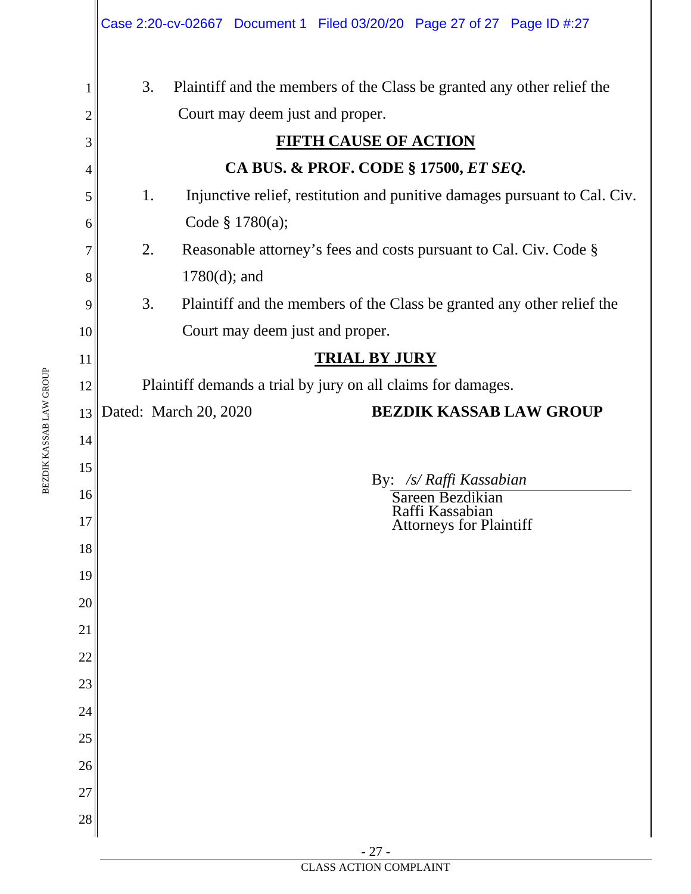| 3.<br>Plaintiff and the members of the Class be granted any other relief the<br>1<br>Court may deem just and proper.<br>$\overline{c}$<br><b>FIFTH CAUSE OF ACTION</b><br>3<br>CA BUS. & PROF. CODE § 17500, ET SEQ.<br>4<br>1.<br>Injunctive relief, restitution and punitive damages pursuant to Cal. Civ.<br>5<br>Code $§ 1780(a);$<br>6<br>2.<br>Reasonable attorney's fees and costs pursuant to Cal. Civ. Code §<br>7<br>$1780(d)$ ; and<br>8<br>3.<br>Plaintiff and the members of the Class be granted any other relief the<br>9<br>Court may deem just and proper.<br>10<br><b>TRIAL BY JURY</b><br>11<br>Plaintiff demands a trial by jury on all claims for damages.<br>12<br><b>BEZDIK KASSAB LAW GROUP</b><br>13 Dated: March 20, 2020<br>14<br>15<br>By: /s/ Raffi Kassabian<br>16<br>Sareen Bezdikian<br>Raffi Kassabian<br>17<br><b>Attorneys for Plaintiff</b><br>18<br>19<br>20<br>21<br>22<br>23<br>24<br>25<br>26<br>27<br>28 | Case 2:20-cv-02667 Document 1 Filed 03/20/20 Page 27 of 27 Page ID #:27 |  |  |  |  |  |  |
|---------------------------------------------------------------------------------------------------------------------------------------------------------------------------------------------------------------------------------------------------------------------------------------------------------------------------------------------------------------------------------------------------------------------------------------------------------------------------------------------------------------------------------------------------------------------------------------------------------------------------------------------------------------------------------------------------------------------------------------------------------------------------------------------------------------------------------------------------------------------------------------------------------------------------------------------------|-------------------------------------------------------------------------|--|--|--|--|--|--|
|                                                                                                                                                                                                                                                                                                                                                                                                                                                                                                                                                                                                                                                                                                                                                                                                                                                                                                                                                   |                                                                         |  |  |  |  |  |  |
|                                                                                                                                                                                                                                                                                                                                                                                                                                                                                                                                                                                                                                                                                                                                                                                                                                                                                                                                                   |                                                                         |  |  |  |  |  |  |
|                                                                                                                                                                                                                                                                                                                                                                                                                                                                                                                                                                                                                                                                                                                                                                                                                                                                                                                                                   |                                                                         |  |  |  |  |  |  |
|                                                                                                                                                                                                                                                                                                                                                                                                                                                                                                                                                                                                                                                                                                                                                                                                                                                                                                                                                   |                                                                         |  |  |  |  |  |  |
|                                                                                                                                                                                                                                                                                                                                                                                                                                                                                                                                                                                                                                                                                                                                                                                                                                                                                                                                                   |                                                                         |  |  |  |  |  |  |
|                                                                                                                                                                                                                                                                                                                                                                                                                                                                                                                                                                                                                                                                                                                                                                                                                                                                                                                                                   |                                                                         |  |  |  |  |  |  |
|                                                                                                                                                                                                                                                                                                                                                                                                                                                                                                                                                                                                                                                                                                                                                                                                                                                                                                                                                   |                                                                         |  |  |  |  |  |  |
|                                                                                                                                                                                                                                                                                                                                                                                                                                                                                                                                                                                                                                                                                                                                                                                                                                                                                                                                                   |                                                                         |  |  |  |  |  |  |
|                                                                                                                                                                                                                                                                                                                                                                                                                                                                                                                                                                                                                                                                                                                                                                                                                                                                                                                                                   |                                                                         |  |  |  |  |  |  |
|                                                                                                                                                                                                                                                                                                                                                                                                                                                                                                                                                                                                                                                                                                                                                                                                                                                                                                                                                   |                                                                         |  |  |  |  |  |  |
|                                                                                                                                                                                                                                                                                                                                                                                                                                                                                                                                                                                                                                                                                                                                                                                                                                                                                                                                                   |                                                                         |  |  |  |  |  |  |
|                                                                                                                                                                                                                                                                                                                                                                                                                                                                                                                                                                                                                                                                                                                                                                                                                                                                                                                                                   |                                                                         |  |  |  |  |  |  |
|                                                                                                                                                                                                                                                                                                                                                                                                                                                                                                                                                                                                                                                                                                                                                                                                                                                                                                                                                   |                                                                         |  |  |  |  |  |  |
|                                                                                                                                                                                                                                                                                                                                                                                                                                                                                                                                                                                                                                                                                                                                                                                                                                                                                                                                                   |                                                                         |  |  |  |  |  |  |
|                                                                                                                                                                                                                                                                                                                                                                                                                                                                                                                                                                                                                                                                                                                                                                                                                                                                                                                                                   |                                                                         |  |  |  |  |  |  |
|                                                                                                                                                                                                                                                                                                                                                                                                                                                                                                                                                                                                                                                                                                                                                                                                                                                                                                                                                   |                                                                         |  |  |  |  |  |  |
|                                                                                                                                                                                                                                                                                                                                                                                                                                                                                                                                                                                                                                                                                                                                                                                                                                                                                                                                                   |                                                                         |  |  |  |  |  |  |
|                                                                                                                                                                                                                                                                                                                                                                                                                                                                                                                                                                                                                                                                                                                                                                                                                                                                                                                                                   |                                                                         |  |  |  |  |  |  |
|                                                                                                                                                                                                                                                                                                                                                                                                                                                                                                                                                                                                                                                                                                                                                                                                                                                                                                                                                   |                                                                         |  |  |  |  |  |  |
|                                                                                                                                                                                                                                                                                                                                                                                                                                                                                                                                                                                                                                                                                                                                                                                                                                                                                                                                                   |                                                                         |  |  |  |  |  |  |
|                                                                                                                                                                                                                                                                                                                                                                                                                                                                                                                                                                                                                                                                                                                                                                                                                                                                                                                                                   |                                                                         |  |  |  |  |  |  |
|                                                                                                                                                                                                                                                                                                                                                                                                                                                                                                                                                                                                                                                                                                                                                                                                                                                                                                                                                   |                                                                         |  |  |  |  |  |  |
|                                                                                                                                                                                                                                                                                                                                                                                                                                                                                                                                                                                                                                                                                                                                                                                                                                                                                                                                                   |                                                                         |  |  |  |  |  |  |
|                                                                                                                                                                                                                                                                                                                                                                                                                                                                                                                                                                                                                                                                                                                                                                                                                                                                                                                                                   |                                                                         |  |  |  |  |  |  |
|                                                                                                                                                                                                                                                                                                                                                                                                                                                                                                                                                                                                                                                                                                                                                                                                                                                                                                                                                   |                                                                         |  |  |  |  |  |  |
|                                                                                                                                                                                                                                                                                                                                                                                                                                                                                                                                                                                                                                                                                                                                                                                                                                                                                                                                                   |                                                                         |  |  |  |  |  |  |
|                                                                                                                                                                                                                                                                                                                                                                                                                                                                                                                                                                                                                                                                                                                                                                                                                                                                                                                                                   |                                                                         |  |  |  |  |  |  |
|                                                                                                                                                                                                                                                                                                                                                                                                                                                                                                                                                                                                                                                                                                                                                                                                                                                                                                                                                   |                                                                         |  |  |  |  |  |  |

BEZDIK KASSAB LAW GROUP BEZDIK KASSAB LAW GROUP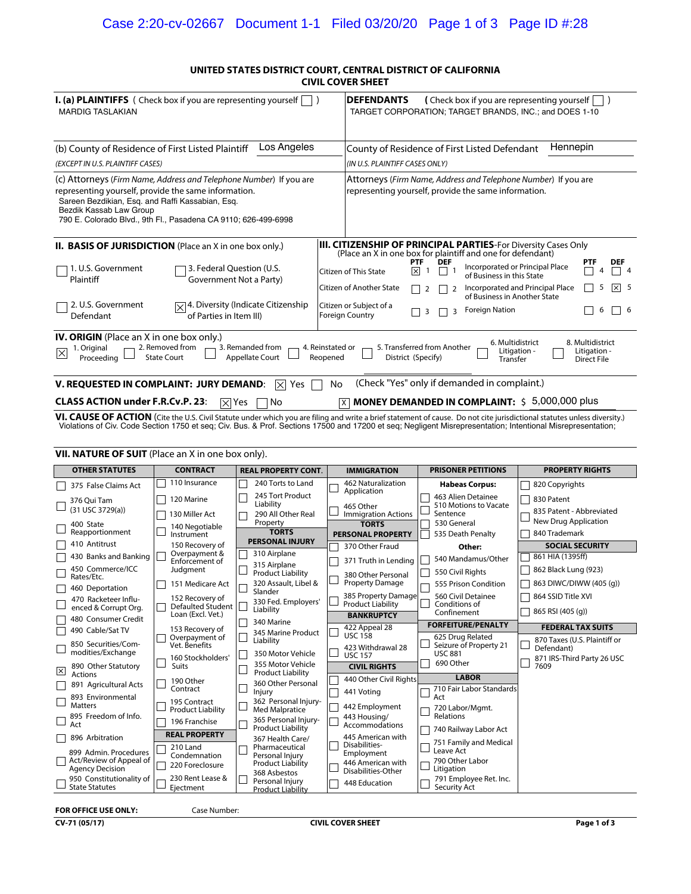#### **UNITED STATES DISTRICT COURT, CENTRAL DISTRICT OF CALIFORNIA CIVIL COVER SHEET**

| <b>I. (a) PLAINTIFFS</b> ( Check box if you are representing yourself $\vert \vert$ )<br><b>MARDIG TASLAKIAN</b>                                                                                                                                                                                                                                                            |                                                                                                                                                           | <b>DEFENDANTS</b>                                                                           |                                                   |                   | (Check box if you are representing yourself<br>TARGET CORPORATION; TARGET BRANDS, INC.; and DOES 1-10                  |                                                                                                                                      |  |     |                              |
|-----------------------------------------------------------------------------------------------------------------------------------------------------------------------------------------------------------------------------------------------------------------------------------------------------------------------------------------------------------------------------|-----------------------------------------------------------------------------------------------------------------------------------------------------------|---------------------------------------------------------------------------------------------|---------------------------------------------------|-------------------|------------------------------------------------------------------------------------------------------------------------|--------------------------------------------------------------------------------------------------------------------------------------|--|-----|------------------------------|
| (b) County of Residence of First Listed Plaintiff<br>(EXCEPT IN U.S. PLAINTIFF CASES)                                                                                                                                                                                                                                                                                       | Los Angeles                                                                                                                                               | Hennepin<br>County of Residence of First Listed Defendant<br>(IN U.S. PLAINTIFF CASES ONLY) |                                                   |                   |                                                                                                                        |                                                                                                                                      |  |     |                              |
| (c) Attorneys (Firm Name, Address and Telephone Number) If you are<br>representing yourself, provide the same information.<br>Sareen Bezdikian, Esg. and Raffi Kassabian, Esg.<br>Bezdik Kassab Law Group<br>790 E. Colorado Blvd., 9th Fl., Pasadena CA 9110; 626-499-6998                                                                                                 |                                                                                                                                                           |                                                                                             |                                                   |                   | Attorneys (Firm Name, Address and Telephone Number) If you are<br>representing yourself, provide the same information. |                                                                                                                                      |  |     |                              |
| <b>II. BASIS OF JURISDICTION</b> (Place an X in one box only.)                                                                                                                                                                                                                                                                                                              |                                                                                                                                                           |                                                                                             |                                                   |                   |                                                                                                                        | <b>III. CITIZENSHIP OF PRINCIPAL PARTIES-For Diversity Cases Only</b><br>(Place an X in one box for plaintiff and one for defendant) |  |     |                              |
| 1. U.S. Government<br>Plaintiff                                                                                                                                                                                                                                                                                                                                             | 3. Federal Question (U.S.<br>Government Not a Party)                                                                                                      |                                                                                             | Citizen of This State<br>Citizen of Another State | <b>PTF</b><br>l×l | <b>DEF</b>                                                                                                             | Incorporated or Principal Place<br>of Business in this State<br>Incorporated and Principal Place                                     |  | PTF | <b>DEF</b><br>-4<br>⊠<br>- 5 |
| 2. U.S. Government<br>Defendant                                                                                                                                                                                                                                                                                                                                             | $\sqrt{\times}$ 4. Diversity (Indicate Citizenship<br>of Parties in Item III)                                                                             | <b>Foreign Country</b>                                                                      | Citizen or Subject of a                           | 3                 | 3                                                                                                                      | of Business in Another State<br><b>Foreign Nation</b>                                                                                |  | 6   | - 6                          |
| <b>IV. ORIGIN</b> (Place an X in one box only.)<br>6. Multidistrict<br>8. Multidistrict<br>5. Transferred from Another<br>2. Removed from<br>3. Remanded from<br>4. Reinstated or<br>1. Original<br>$\overline{\times}$<br>Litigation -<br>Litigation -<br>Appellate Court<br>District (Specify)<br>Proceeding<br><b>State Court</b><br>Reopened<br>Transfer<br>Direct File |                                                                                                                                                           |                                                                                             |                                                   |                   |                                                                                                                        |                                                                                                                                      |  |     |                              |
| V. REQUESTED IN COMPLAINT: JURY DEMAND:                                                                                                                                                                                                                                                                                                                                     | l×l<br>Yes                                                                                                                                                | No                                                                                          |                                                   |                   |                                                                                                                        | (Check "Yes" only if demanded in complaint.)                                                                                         |  |     |                              |
|                                                                                                                                                                                                                                                                                                                                                                             | 5,000,000 plus<br><b>CLASS ACTION under F.R.Cv.P. 23:</b><br><b>MONEY DEMANDED IN COMPLAINT: \$</b><br>No<br>$\mathsf{ \times} $<br>l Yes<br>$\mathsf{X}$ |                                                                                             |                                                   |                   |                                                                                                                        |                                                                                                                                      |  |     |                              |

VI. CAUSE OF ACTION (Cite the U.S. Civil Statute under which you are filing and write a brief statement of cause. Do not cite jurisdictional statutes unless diversity.) Violations of Civ. Code Section 1750 et seq; Civ. Bus

| <b>VII. NATURE OF SUIT</b> (Place an X in one box only).                   |                                                      |                                                                                            |                                                                        |                                                                      |                                                                          |  |  |
|----------------------------------------------------------------------------|------------------------------------------------------|--------------------------------------------------------------------------------------------|------------------------------------------------------------------------|----------------------------------------------------------------------|--------------------------------------------------------------------------|--|--|
| <b>OTHER STATUTES</b>                                                      | <b>CONTRACT</b>                                      | <b>REAL PROPERTY CONT.</b>                                                                 | <b>IMMIGRATION</b>                                                     | <b>PRISONER PETITIONS</b>                                            | <b>PROPERTY RIGHTS</b>                                                   |  |  |
| 375 False Claims Act                                                       | 110 Insurance                                        | 240 Torts to Land                                                                          | 462 Naturalization                                                     | <b>Habeas Corpus:</b>                                                | 820 Copyrights                                                           |  |  |
| 376 Oui Tam<br>(31 USC 3729(a))                                            | 120 Marine<br>130 Miller Act                         | 245 Tort Product<br>Liability<br>290 All Other Real                                        | Application<br>465 Other<br><b>Immigration Actions</b>                 | 463 Alien Detainee<br>510 Motions to Vacate<br>Sentence              | 830 Patent<br>835 Patent - Abbreviated                                   |  |  |
| 400 State<br>Reapportionment                                               | 140 Negotiable<br>Instrument                         | Property<br><b>TORTS</b><br><b>PERSONAL INJURY</b>                                         | <b>TORTS</b><br><b>PERSONAL PROPERTY</b>                               | 530 General<br>535 Death Penalty                                     | <b>New Drug Application</b><br>840 Trademark                             |  |  |
| 410 Antitrust                                                              | 150 Recovery of<br>Overpayment &                     |                                                                                            | 370 Other Fraud                                                        | Other:                                                               | <b>SOCIAL SECURITY</b>                                                   |  |  |
| 430 Banks and Banking                                                      | Enforcement of                                       | 310 Airplane                                                                               | 371 Truth in Lending                                                   | 540 Mandamus/Other                                                   | 861 HIA (1395ff)                                                         |  |  |
| 450 Commerce/ICC<br>Rates/Etc.                                             | Judgment                                             | 315 Airplane<br><b>Product Liability</b>                                                   | 380 Other Personal                                                     | 550 Civil Rights                                                     | 862 Black Lung (923)                                                     |  |  |
| 460 Deportation                                                            | 151 Medicare Act                                     | 320 Assault, Libel &<br>Slander                                                            | <b>Property Damage</b>                                                 | 555 Prison Condition                                                 | 863 DIWC/DIWW (405 (q))                                                  |  |  |
| 470 Racketeer Influ-<br>enced & Corrupt Org.                               | 152 Recovery of<br>Defaulted Student                 | 330 Fed. Employers'                                                                        | 385 Property Damage<br>Product Liability                               | 560 Civil Detainee<br>Conditions of                                  | 864 SSID Title XVI                                                       |  |  |
| 480 Consumer Credit                                                        | Loan (Excl. Vet.)                                    | Liability                                                                                  | <b>BANKRUPTCY</b>                                                      | Confinement                                                          | 865 RSI (405 (q))                                                        |  |  |
| 490 Cable/Sat TV                                                           | 153 Recovery of                                      | 340 Marine<br>345 Marine Product                                                           | 422 Appeal 28                                                          | <b>FORFEITURE/PENALTY</b>                                            | <b>FEDERAL TAX SUITS</b>                                                 |  |  |
| 850 Securities/Com-<br>modities/Exchange                                   | Overpayment of<br>Vet. Benefits<br>160 Stockholders' | Liability<br>350 Motor Vehicle                                                             | <b>USC 158</b><br>423 Withdrawal 28<br><b>USC 157</b>                  | 625 Drug Related<br>Seizure of Property 21<br><b>USC 881</b>         | 870 Taxes (U.S. Plaintiff or<br>Defendant)<br>871 IRS-Third Party 26 USC |  |  |
| 890 Other Statutory<br>⊠<br><b>Actions</b>                                 | Suits                                                | 355 Motor Vehicle<br><b>Product Liability</b>                                              | <b>CIVIL RIGHTS</b>                                                    | 690 Other                                                            | 7609                                                                     |  |  |
| 891 Agricultural Acts                                                      | 190 Other<br>Contract                                | 360 Other Personal                                                                         | 440 Other Civil Rights                                                 | <b>LABOR</b><br>710 Fair Labor Standards                             |                                                                          |  |  |
| 893 Environmental<br><b>Matters</b>                                        | 195 Contract                                         | Injury<br>362 Personal Iniurv-                                                             | 441 Votina<br>442 Employment                                           | Act<br>720 Labor/Mgmt.                                               |                                                                          |  |  |
| 895 Freedom of Info.                                                       | <b>Product Liability</b><br>196 Franchise            | <b>Med Malpratice</b><br>365 Personal Injury-                                              | 443 Housing/                                                           | Relations                                                            |                                                                          |  |  |
| Act<br>896 Arbitration                                                     | <b>REAL PROPERTY</b>                                 | <b>Product Liability</b>                                                                   | Accommodations<br>445 American with                                    | 740 Railway Labor Act                                                |                                                                          |  |  |
| 899 Admin. Procedures<br>Act/Review of Appeal of<br><b>Agency Decision</b> | 210 Land<br>Condemnation<br>220 Foreclosure          | 367 Health Care/<br>Pharmaceutical<br>Personal Injury<br>Product Liability<br>368 Asbestos | Disabilities-<br>Employment<br>446 American with<br>Disabilities-Other | 751 Family and Medical<br>Leave Act<br>790 Other Labor<br>Litigation |                                                                          |  |  |
| 950 Constitutionality of<br><b>State Statutes</b>                          | 230 Rent Lease &<br>Ejectment                        | $\mathcal{L}$<br>Personal Injury<br><b>Product Liability</b>                               | 448 Education                                                          | 791 Employee Ret. Inc.<br>Security Act                               |                                                                          |  |  |

#### **FOR OFFICE USE ONLY:**

Case Number: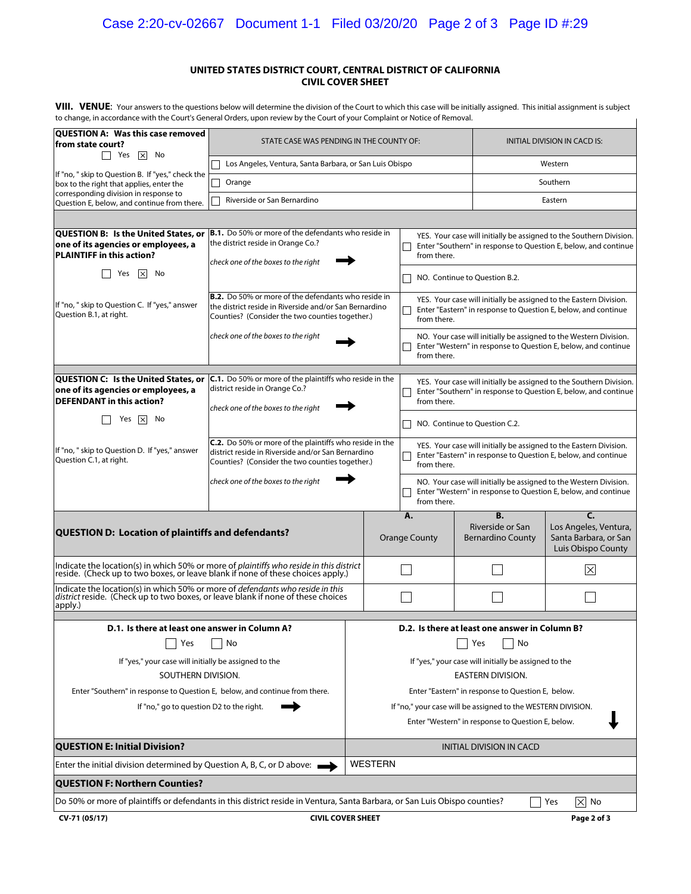### Case 2:20-cv-02667 Document 1-1 Filed 03/20/20 Page 2 of 3 Page ID #:29

#### **UNITED STATES DISTRICT COURT, CENTRAL DISTRICT OF CALIFORNIA CIVIL COVER SHEET**

VIII. VENUE: Your answers to the questions below will determine the division of the Court to which this case will be initially assigned. This initial assignment is subject to change, in accordance with the Court's General Orders, upon review by the Court of your Complaint or Notice of Removal.

| to change, in accordance with the Court's General Orders, upon review by the Court of your Complaint or Notice of Removal.                                                           |                                                                                                                                                                         |             |                                                                                                                                                       |                                                                                                                                                       |  |                                                                                                                                     |                                                                                                                                     |  |
|--------------------------------------------------------------------------------------------------------------------------------------------------------------------------------------|-------------------------------------------------------------------------------------------------------------------------------------------------------------------------|-------------|-------------------------------------------------------------------------------------------------------------------------------------------------------|-------------------------------------------------------------------------------------------------------------------------------------------------------|--|-------------------------------------------------------------------------------------------------------------------------------------|-------------------------------------------------------------------------------------------------------------------------------------|--|
| QUESTION A: Was this case removed<br>from state court?                                                                                                                               | STATE CASE WAS PENDING IN THE COUNTY OF:                                                                                                                                |             |                                                                                                                                                       |                                                                                                                                                       |  | INITIAL DIVISION IN CACD IS:                                                                                                        |                                                                                                                                     |  |
| $\Box$ Yes<br>$\vert x \vert$ No                                                                                                                                                     | Los Angeles, Ventura, Santa Barbara, or San Luis Obispo                                                                                                                 |             | Western                                                                                                                                               |                                                                                                                                                       |  |                                                                                                                                     |                                                                                                                                     |  |
| If "no, " skip to Question B. If "yes," check the<br>box to the right that applies, enter the                                                                                        | Orange                                                                                                                                                                  |             |                                                                                                                                                       |                                                                                                                                                       |  |                                                                                                                                     | Southern                                                                                                                            |  |
| corresponding division in response to<br>Question E, below, and continue from there.                                                                                                 | Riverside or San Bernardino                                                                                                                                             |             |                                                                                                                                                       |                                                                                                                                                       |  |                                                                                                                                     | Eastern                                                                                                                             |  |
|                                                                                                                                                                                      |                                                                                                                                                                         |             |                                                                                                                                                       |                                                                                                                                                       |  |                                                                                                                                     |                                                                                                                                     |  |
| QUESTION B: Is the United States, or<br>one of its agencies or employees, a<br><b>PLAINTIFF in this action?</b>                                                                      | <b>B.1.</b> Do 50% or more of the defendants who reside in<br>the district reside in Orange Co.?<br>check one of the boxes to the right                                 |             |                                                                                                                                                       | YES. Your case will initially be assigned to the Southern Division.<br>Enter "Southern" in response to Question E, below, and continue<br>from there. |  |                                                                                                                                     |                                                                                                                                     |  |
| $\vert \times \vert$<br>Yes<br>- No                                                                                                                                                  |                                                                                                                                                                         |             |                                                                                                                                                       |                                                                                                                                                       |  | NO. Continue to Question B.2.                                                                                                       |                                                                                                                                     |  |
| If "no, " skip to Question C. If "yes," answer<br>Question B.1, at right.                                                                                                            | <b>B.2.</b> Do 50% or more of the defendants who reside in<br>the district reside in Riverside and/or San Bernardino<br>Counties? (Consider the two counties together.) |             |                                                                                                                                                       | YES. Your case will initially be assigned to the Eastern Division.<br>Enter "Eastern" in response to Question E, below, and continue<br>from there.   |  |                                                                                                                                     |                                                                                                                                     |  |
|                                                                                                                                                                                      | check one of the boxes to the right                                                                                                                                     |             |                                                                                                                                                       | from there.                                                                                                                                           |  |                                                                                                                                     | NO. Your case will initially be assigned to the Western Division.<br>Enter "Western" in response to Question E, below, and continue |  |
| QUESTION C: Is the United States, or<br>one of its agencies or employees, a<br><b>DEFENDANT</b> in this action?                                                                      | <b>C.1.</b> Do 50% or more of the plaintiffs who reside in the<br>district reside in Orange Co.?<br>check one of the boxes to the right                                 |             | YES. Your case will initially be assigned to the Southern Division.<br>Enter "Southern" in response to Question E, below, and continue<br>from there. |                                                                                                                                                       |  |                                                                                                                                     |                                                                                                                                     |  |
| No<br>Yes<br>$\vert \times \vert$                                                                                                                                                    |                                                                                                                                                                         |             |                                                                                                                                                       | NO. Continue to Question C.2.                                                                                                                         |  |                                                                                                                                     |                                                                                                                                     |  |
| If "no, " skip to Question D. If "yes," answer<br>Question C.1, at right.                                                                                                            | <b>C.2.</b> Do 50% or more of the plaintiffs who reside in the<br>district reside in Riverside and/or San Bernardino<br>Counties? (Consider the two counties together.) |             |                                                                                                                                                       | YES. Your case will initially be assigned to the Eastern Division.<br>Enter "Eastern" in response to Question E, below, and continue<br>from there.   |  |                                                                                                                                     |                                                                                                                                     |  |
|                                                                                                                                                                                      | check one of the boxes to the right                                                                                                                                     | from there. |                                                                                                                                                       |                                                                                                                                                       |  | NO. Your case will initially be assigned to the Western Division.<br>Enter "Western" in response to Question E, below, and continue |                                                                                                                                     |  |
| <b>QUESTION D: Location of plaintiffs and defendants?</b>                                                                                                                            |                                                                                                                                                                         |             | А.<br><b>Orange County</b>                                                                                                                            |                                                                                                                                                       |  | <b>B.</b><br>Riverside or San<br><b>Bernardino County</b>                                                                           | C.<br>Los Angeles, Ventura,<br>Santa Barbara, or San<br>Luis Obispo County                                                          |  |
| Indicate the location(s) in which 50% or more of plaintiffs who reside in this district<br>reside. (Check up to two boxes, or leave blank if none of these choices apply.)           |                                                                                                                                                                         |             |                                                                                                                                                       |                                                                                                                                                       |  |                                                                                                                                     | $\times$                                                                                                                            |  |
| Indicate the location(s) in which 50% or more of <i>defendants who reside in this</i><br>district reside. (Check up to two boxes, or leave blank if none of these choices<br>apply.) |                                                                                                                                                                         |             |                                                                                                                                                       |                                                                                                                                                       |  |                                                                                                                                     |                                                                                                                                     |  |
| D.1. Is there at least one answer in Column A?                                                                                                                                       |                                                                                                                                                                         |             |                                                                                                                                                       |                                                                                                                                                       |  | D.2. Is there at least one answer in Column B?                                                                                      |                                                                                                                                     |  |
| Yes                                                                                                                                                                                  | No                                                                                                                                                                      | Yes<br>No   |                                                                                                                                                       |                                                                                                                                                       |  |                                                                                                                                     |                                                                                                                                     |  |
| If "yes," your case will initially be assigned to the<br>SOUTHERN DIVISION.                                                                                                          |                                                                                                                                                                         |             | If "yes," your case will initially be assigned to the<br><b>EASTERN DIVISION.</b>                                                                     |                                                                                                                                                       |  |                                                                                                                                     |                                                                                                                                     |  |
| Enter "Southern" in response to Question E, below, and continue from there.                                                                                                          |                                                                                                                                                                         |             | Enter "Eastern" in response to Question E, below.                                                                                                     |                                                                                                                                                       |  |                                                                                                                                     |                                                                                                                                     |  |
| If "no," go to question D2 to the right.                                                                                                                                             |                                                                                                                                                                         |             | If "no," your case will be assigned to the WESTERN DIVISION.                                                                                          |                                                                                                                                                       |  |                                                                                                                                     |                                                                                                                                     |  |
|                                                                                                                                                                                      |                                                                                                                                                                         |             |                                                                                                                                                       | Enter "Western" in response to Question E, below.                                                                                                     |  |                                                                                                                                     |                                                                                                                                     |  |
| <b>QUESTION E: Initial Division?</b>                                                                                                                                                 |                                                                                                                                                                         |             |                                                                                                                                                       | <b>INITIAL DIVISION IN CACD</b>                                                                                                                       |  |                                                                                                                                     |                                                                                                                                     |  |
| <b>WESTERN</b><br>Enter the initial division determined by Question A, B, C, or D above: $\longrightarrow$                                                                           |                                                                                                                                                                         |             |                                                                                                                                                       |                                                                                                                                                       |  |                                                                                                                                     |                                                                                                                                     |  |
| <b>QUESTION F: Northern Counties?</b>                                                                                                                                                |                                                                                                                                                                         |             |                                                                                                                                                       |                                                                                                                                                       |  |                                                                                                                                     |                                                                                                                                     |  |
| Do 50% or more of plaintiffs or defendants in this district reside in Ventura, Santa Barbara, or San Luis Obispo counties?                                                           |                                                                                                                                                                         |             |                                                                                                                                                       |                                                                                                                                                       |  |                                                                                                                                     | $\times$ No<br>Yes                                                                                                                  |  |
| CV-71 (05/17)<br><b>CIVIL COVER SHEET</b><br>Page 2 of 3                                                                                                                             |                                                                                                                                                                         |             |                                                                                                                                                       |                                                                                                                                                       |  |                                                                                                                                     |                                                                                                                                     |  |